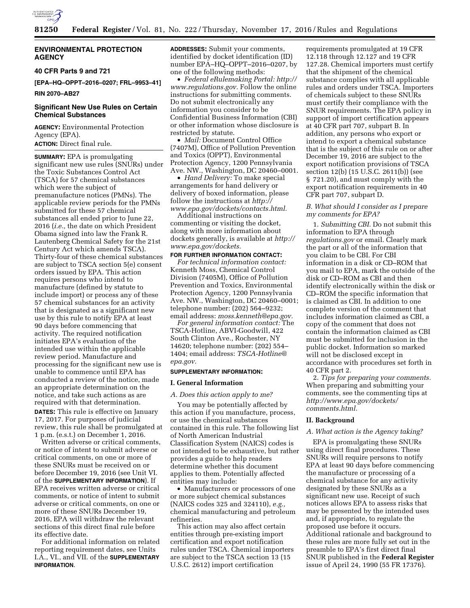

## **ENVIRONMENTAL PROTECTION AGENCY**

**40 CFR Parts 9 and 721** 

**[EPA–HQ–OPPT–2016–0207; FRL–9953–41]** 

**RIN 2070–AB27** 

# **Significant New Use Rules on Certain Chemical Substances**

**AGENCY:** Environmental Protection Agency (EPA). **ACTION:** Direct final rule.

**SUMMARY:** EPA is promulgating significant new use rules (SNURs) under the Toxic Substances Control Act (TSCA) for 57 chemical substances which were the subject of premanufacture notices (PMNs). The applicable review periods for the PMNs submitted for these 57 chemical substances all ended prior to June 22, 2016 (*i.e.,* the date on which President Obama signed into law the Frank R. Lautenberg Chemical Safety for the 21st Century Act which amends TSCA). Thirty-four of these chemical substances are subject to TSCA section 5(e) consent orders issued by EPA. This action requires persons who intend to manufacture (defined by statute to include import) or process any of these 57 chemical substances for an activity that is designated as a significant new use by this rule to notify EPA at least 90 days before commencing that activity. The required notification initiates EPA's evaluation of the intended use within the applicable review period. Manufacture and processing for the significant new use is unable to commence until EPA has conducted a review of the notice, made an appropriate determination on the notice, and take such actions as are required with that determination.

**DATES:** This rule is effective on January 17, 2017. For purposes of judicial review, this rule shall be promulgated at 1 p.m. (e.s.t.) on December 1, 2016.

Written adverse or critical comments, or notice of intent to submit adverse or critical comments, on one or more of these SNURs must be received on or before December 19, 2016 (see Unit VI. of the **SUPPLEMENTARY INFORMATION**). If EPA receives written adverse or critical comments, or notice of intent to submit adverse or critical comments, on one or more of these SNURs December 19, 2016, EPA will withdraw the relevant sections of this direct final rule before its effective date.

For additional information on related reporting requirement dates, see Units I.A., VI., and VII. of the **SUPPLEMENTARY INFORMATION**.

**ADDRESSES:** Submit your comments, identified by docket identification (ID) number EPA–HQ–OPPT–2016–0207, by one of the following methods:

• *Federal eRulemaking Portal: [http://](http://www.regulations.gov)  [www.regulations.gov.](http://www.regulations.gov)* Follow the online instructions for submitting comments. Do not submit electronically any information you consider to be Confidential Business Information (CBI) or other information whose disclosure is restricted by statute.

• *Mail: Document Control Office* (7407M), Office of Pollution Prevention and Toxics (OPPT), Environmental Protection Agency, 1200 Pennsylvania Ave. NW., Washington, DC 20460–0001.

• *Hand Delivery:* To make special arrangements for hand delivery or delivery of boxed information, please follow the instructions at *[http://](http://www.epa.gov/dockets/contacts.html) [www.epa.gov/dockets/contacts.html.](http://www.epa.gov/dockets/contacts.html)* 

Additional instructions on commenting or visiting the docket, along with more information about dockets generally, is available at *[http://](http://www.epa.gov/dockets) [www.epa.gov/dockets.](http://www.epa.gov/dockets)* 

#### **FOR FURTHER INFORMATION CONTACT:**

*For technical information contact:*  Kenneth Moss, Chemical Control Division (7405M), Office of Pollution Prevention and Toxics, Environmental Protection Agency, 1200 Pennsylvania Ave. NW., Washington, DC 20460–0001; telephone number: (202) 564–9232; email address: *[moss.kenneth@epa.gov.](mailto:moss.kenneth@epa.gov)* 

*For general information contact:* The TSCA-Hotline, ABVI-Goodwill, 422 South Clinton Ave., Rochester, NY 14620; telephone number: (202) 554– 1404; email address: *[TSCA-Hotline@](mailto:TSCA-Hotline@epa.gov) [epa.gov.](mailto:TSCA-Hotline@epa.gov)* 

## **SUPPLEMENTARY INFORMATION:**

#### **I. General Information**

#### *A. Does this action apply to me?*

You may be potentially affected by this action if you manufacture, process, or use the chemical substances contained in this rule. The following list of North American Industrial Classification System (NAICS) codes is not intended to be exhaustive, but rather provides a guide to help readers determine whether this document applies to them. Potentially affected entities may include:

• Manufacturers or processors of one or more subject chemical substances (NAICS codes 325 and 324110), *e.g.,*  chemical manufacturing and petroleum refineries.

This action may also affect certain entities through pre-existing import certification and export notification rules under TSCA. Chemical importers are subject to the TSCA section 13 (15 U.S.C. 2612) import certification

requirements promulgated at 19 CFR 12.118 through 12.127 and 19 CFR 127.28. Chemical importers must certify that the shipment of the chemical substance complies with all applicable rules and orders under TSCA. Importers of chemicals subject to these SNURs must certify their compliance with the SNUR requirements. The EPA policy in support of import certification appears at 40 CFR part 707, subpart B. In addition, any persons who export or intend to export a chemical substance that is the subject of this rule on or after December 19, 2016 are subject to the export notification provisions of TSCA section 12(b) (15 U.S.C. 2611(b)) (see § 721.20), and must comply with the export notification requirements in 40 CFR part 707, subpart D.

## *B. What should I consider as I prepare my comments for EPA?*

1. *Submitting CBI.* Do not submit this information to EPA through *regulations.gov* or email. Clearly mark the part or all of the information that you claim to be CBI. For CBI information in a disk or CD–ROM that you mail to EPA, mark the outside of the disk or CD–ROM as CBI and then identify electronically within the disk or CD–ROM the specific information that is claimed as CBI. In addition to one complete version of the comment that includes information claimed as CBI, a copy of the comment that does not contain the information claimed as CBI must be submitted for inclusion in the public docket. Information so marked will not be disclosed except in accordance with procedures set forth in 40 CFR part 2.

2. *Tips for preparing your comments.*  When preparing and submitting your comments, see the commenting tips at *[http://www.epa.gov/dockets/](http://www.epa.gov/dockets/comments.html)  [comments.html.](http://www.epa.gov/dockets/comments.html)* 

#### **II. Background**

#### *A. What action is the Agency taking?*

EPA is promulgating these SNURs using direct final procedures. These SNURs will require persons to notify EPA at least 90 days before commencing the manufacture or processing of a chemical substance for any activity designated by these SNURs as a significant new use. Receipt of such notices allows EPA to assess risks that may be presented by the intended uses and, if appropriate, to regulate the proposed use before it occurs. Additional rationale and background to these rules are more fully set out in the preamble to EPA's first direct final SNUR published in the **Federal Register**  issue of April 24, 1990 (55 FR 17376).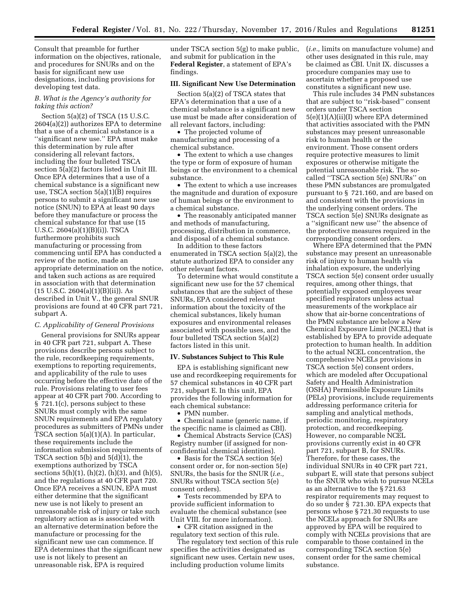Consult that preamble for further information on the objectives, rationale, and procedures for SNURs and on the basis for significant new use designations, including provisions for developing test data.

## *B. What is the Agency's authority for taking this action?*

Section 5(a)(2) of TSCA (15 U.S.C. 2604(a)(2)) authorizes EPA to determine that a use of a chemical substance is a ''significant new use.'' EPA must make this determination by rule after considering all relevant factors, including the four bulleted TSCA section 5(a)(2) factors listed in Unit III. Once EPA determines that a use of a chemical substance is a significant new use, TSCA section 5(a)(1)(B) requires persons to submit a significant new use notice (SNUN) to EPA at least 90 days before they manufacture or process the chemical substance for that use (15 U.S.C. 2604(a)(1)(B)(i)). TSCA furthermore prohibits such manufacturing or processing from commencing until EPA has conducted a review of the notice, made an appropriate determination on the notice, and taken such actions as are required in association with that determination  $(15 \text{ U.S.C. } 2604(a)(1)(B)(ii))$ . As described in Unit V., the general SNUR provisions are found at 40 CFR part 721, subpart A.

#### *C. Applicability of General Provisions*

General provisions for SNURs appear in 40 CFR part 721, subpart A. These provisions describe persons subject to the rule, recordkeeping requirements, exemptions to reporting requirements, and applicability of the rule to uses occurring before the effective date of the rule. Provisions relating to user fees appear at 40 CFR part 700. According to § 721.1(c), persons subject to these SNURs must comply with the same SNUN requirements and EPA regulatory procedures as submitters of PMNs under TSCA section 5(a)(1)(A). In particular, these requirements include the information submission requirements of TSCA section 5(b) and 5(d)(1), the exemptions authorized by TSCA sections  $5(h)(1)$ ,  $(h)(2)$ ,  $(h)(3)$ , and  $(h)(5)$ , and the regulations at 40 CFR part 720. Once EPA receives a SNUN, EPA must either determine that the significant new use is not likely to present an unreasonable risk of injury or take such regulatory action as is associated with an alternative determination before the manufacture or processing for the significant new use can commence. If EPA determines that the significant new use is not likely to present an unreasonable risk, EPA is required

under TSCA section 5(g) to make public, and submit for publication in the **Federal Register**, a statement of EPA's findings.

# **III. Significant New Use Determination**

Section 5(a)(2) of TSCA states that EPA's determination that a use of a chemical substance is a significant new use must be made after consideration of all relevant factors, including:

• The projected volume of manufacturing and processing of a chemical substance.

• The extent to which a use changes the type or form of exposure of human beings or the environment to a chemical substance.

• The extent to which a use increases the magnitude and duration of exposure of human beings or the environment to a chemical substance.

• The reasonably anticipated manner and methods of manufacturing, processing, distribution in commerce, and disposal of a chemical substance.

In addition to these factors enumerated in TSCA section 5(a)(2), the statute authorized EPA to consider any other relevant factors.

To determine what would constitute a significant new use for the 57 chemical substances that are the subject of these SNURs, EPA considered relevant information about the toxicity of the chemical substances, likely human exposures and environmental releases associated with possible uses, and the four bulleted TSCA section 5(a)(2) factors listed in this unit.

## **IV. Substances Subject to This Rule**

EPA is establishing significant new use and recordkeeping requirements for 57 chemical substances in 40 CFR part 721, subpart E. In this unit, EPA provides the following information for each chemical substance:

• PMN number.

• Chemical name (generic name, if the specific name is claimed as CBI).

• Chemical Abstracts Service (CAS) Registry number (if assigned for nonconfidential chemical identities).

• Basis for the TSCA section 5(e) consent order or, for non-section 5(e) SNURs, the basis for the SNUR (*i.e.,*  SNURs without TSCA section 5(e) consent orders).

• Tests recommended by EPA to provide sufficient information to evaluate the chemical substance (see Unit VIII. for more information).

• CFR citation assigned in the regulatory text section of this rule.

The regulatory text section of this rule specifies the activities designated as significant new uses. Certain new uses, including production volume limits

(*i.e.,* limits on manufacture volume) and other uses designated in this rule, may be claimed as CBI. Unit IX. discusses a procedure companies may use to ascertain whether a proposed use constitutes a significant new use.

This rule includes 34 PMN substances that are subject to ''risk-based'' consent orders under TSCA section 5(e)(1)(A)(ii)(I) where EPA determined that activities associated with the PMN substances may present unreasonable risk to human health or the environment. Those consent orders require protective measures to limit exposures or otherwise mitigate the potential unreasonable risk. The socalled ''TSCA section 5(e) SNURs'' on these PMN substances are promulgated pursuant to § 721.160, and are based on and consistent with the provisions in the underlying consent orders. The TSCA section 5(e) SNURs designate as a ''significant new use'' the absence of the protective measures required in the corresponding consent orders.

Where EPA determined that the PMN substance may present an unreasonable risk of injury to human health via inhalation exposure, the underlying TSCA section 5(e) consent order usually requires, among other things, that potentially exposed employees wear specified respirators unless actual measurements of the workplace air show that air-borne concentrations of the PMN substance are below a New Chemical Exposure Limit (NCEL) that is established by EPA to provide adequate protection to human health. In addition to the actual NCEL concentration, the comprehensive NCELs provisions in TSCA section 5(e) consent orders, which are modeled after Occupational Safety and Health Administration (OSHA) Permissible Exposure Limits (PELs) provisions, include requirements addressing performance criteria for sampling and analytical methods, periodic monitoring, respiratory protection, and recordkeeping. However, no comparable NCEL provisions currently exist in 40 CFR part 721, subpart B, for SNURs. Therefore, for these cases, the individual SNURs in 40 CFR part 721, subpart E, will state that persons subject to the SNUR who wish to pursue NCELs as an alternative to the § 721.63 respirator requirements may request to do so under § 721.30. EPA expects that persons whose § 721.30 requests to use the NCELs approach for SNURs are approved by EPA will be required to comply with NCELs provisions that are comparable to those contained in the corresponding TSCA section 5(e) consent order for the same chemical substance.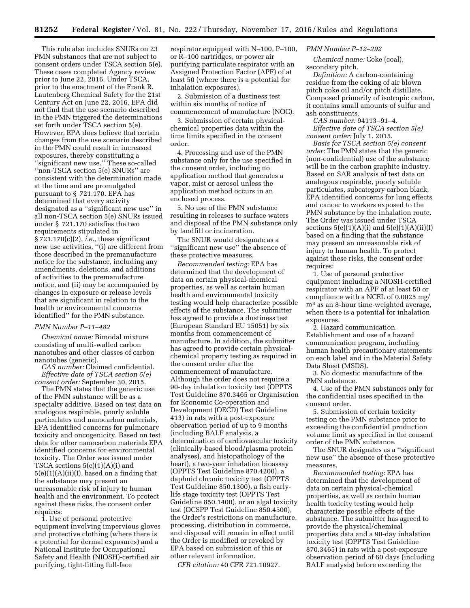This rule also includes SNURs on 23 PMN substances that are not subject to consent orders under TSCA section 5(e). These cases completed Agency review prior to June 22, 2016. Under TSCA, prior to the enactment of the Frank R. Lautenberg Chemical Safety for the 21st Century Act on June 22, 2016, EPA did not find that the use scenario described in the PMN triggered the determinations set forth under TSCA section 5(e). However, EPA does believe that certain changes from the use scenario described in the PMN could result in increased exposures, thereby constituting a ''significant new use.'' These so-called ''non-TSCA section 5(e) SNURs'' are consistent with the determination made at the time and are promulgated pursuant to § 721.170. EPA has determined that every activity designated as a ''significant new use'' in all non-TSCA section 5(e) SNURs issued under § 721.170 satisfies the two requirements stipulated in § 721.170(c)(2), *i.e.,* these significant new use activities, ''(i) are different from those described in the premanufacture notice for the substance, including any amendments, deletions, and additions of activities to the premanufacture notice, and (ii) may be accompanied by changes in exposure or release levels that are significant in relation to the health or environmental concerns identified'' for the PMN substance.

# *PMN Number P–11–482*

*Chemical name:* Bimodal mixture consisting of multi-walled carbon nanotubes and other classes of carbon nanotubes (generic).

*CAS number:* Claimed confidential. *Effective date of TSCA section 5(e) consent order:* September 30, 2015.

The PMN states that the generic use of the PMN substance will be as a specialty additive. Based on test data on analogous respirable, poorly soluble particulates and nanocarbon materials, EPA identified concerns for pulmonary toxicity and oncogenicity. Based on test data for other nanocarbon materials EPA identified concerns for environmental toxicity. The Order was issued under TSCA sections 5(e)(1)(A)(i) and  $5(e)(1)(A)(ii)(I)$ , based on a finding that the substance may present an unreasonable risk of injury to human health and the environment. To protect against these risks, the consent order requires:

1. Use of personal protective equipment involving impervious gloves and protective clothing (where there is a potential for dermal exposures) and a National Institute for Occupational Safety and Health (NIOSH)-certified air purifying, tight-fitting full-face

respirator equipped with N–100, P–100, or R–100 cartridges, or power air purifying particulate respirator with an Assigned Protection Factor (APF) of at least 50 (where there is a potential for inhalation exposures).

2. Submission of a dustiness test within six months of notice of commencement of manufacture (NOC).

3. Submission of certain physicalchemical properties data within the time limits specified in the consent order.

4. Processing and use of the PMN substance only for the use specified in the consent order, including no application method that generates a vapor, mist or aerosol unless the application method occurs in an enclosed process.

5. No use of the PMN substance resulting in releases to surface waters and disposal of the PMN substance only by landfill or incineration.

The SNUR would designate as a ''significant new use'' the absence of these protective measures.

*Recommended testing:* EPA has determined that the development of data on certain physical-chemical properties, as well as certain human health and environmental toxicity testing would help characterize possible effects of the substance. The submitter has agreed to provide a dustiness test (European Standard EU 15051) by six months from commencement of manufacture. In addition, the submitter has agreed to provide certain physicalchemical property testing as required in the consent order after the commencement of manufacture. Although the order does not require a 90-day inhalation toxicity test (OPPTS Test Guideline 870.3465 or Organisation for Economic Co-operation and Development (OECD) Test Guideline 413) in rats with a post-exposure observation period of up to 9 months (including BALF analysis, a determination of cardiovascular toxicity (clinically-based blood/plasma protein analyses), and histopathology of the heart), a two-year inhalation bioassay (OPPTS Test Guideline 870.4200), a daphnid chronic toxicity test (OPPTS Test Guideline 850.1300), a fish earlylife stage toxicity test (OPPTS Test Guideline 850.1400), or an algal toxicity test (OCSPP Test Guideline 850.4500), the Order's restrictions on manufacture, processing, distribution in commerce, and disposal will remain in effect until the Order is modified or revoked by EPA based on submission of this or other relevant information.

*CFR citation:* 40 CFR 721.10927.

## *PMN Number P–12–292*

*Chemical name:* Coke (coal), secondary pitch.

*Definition:* A carbon-containing residue from the coking of air blown pitch coke oil and/or pitch distillate. Composed primarily of isotropic carbon, it contains small amounts of sulfur and ash constituents.

*CAS number:* 94113–91–4. *Effective date of TSCA section 5(e)* 

*consent order:* July 1. 2015. *Basis for TSCA section 5(e) consent order:* The PMN states that the generic (non-confidential) use of the substance will be in the carbon graphite industry. Based on SAR analysis of test data on analogous respirable, poorly soluble particulates, subcategory carbon black, EPA identified concerns for lung effects and cancer to workers exposed to the PMN substance by the inhalation route. The Order was issued under TSCA sections  $5(e)(1)(A)(i)$  and  $5(e)(1)(A)(ii)(I)$ based on a finding that the substance may present an unreasonable risk of injury to human health. To protect against these risks, the consent order requires:

1. Use of personal protective equipment including a NIOSH-certified respirator with an APF of at least 50 or compliance with a NCEL of 0.0025 mg/ m3 as an 8-hour time-weighted average, when there is a potential for inhalation exposures.

2. Hazard communication. Establishment and use of a hazard communication program, including human health precautionary statements on each label and in the Material Safety Data Sheet (MSDS).

3. No domestic manufacture of the PMN substance.

4. Use of the PMN substances only for the confidential uses specified in the consent order.

5. Submission of certain toxicity testing on the PMN substance prior to exceeding the confidential production volume limit as specified in the consent order of the PMN substance.

The SNUR designates as a ''significant new use'' the absence of these protective measures.

*Recommended testing:* EPA has determined that the development of data on certain physical-chemical properties, as well as certain human health toxicity testing would help characterize possible effects of the substance. The submitter has agreed to provide the physical/chemical properties data and a 90-day inhalation toxicity test (OPPTS Test Guideline 870.3465) in rats with a post-exposure observation period of 60 days (including BALF analysis) before exceeding the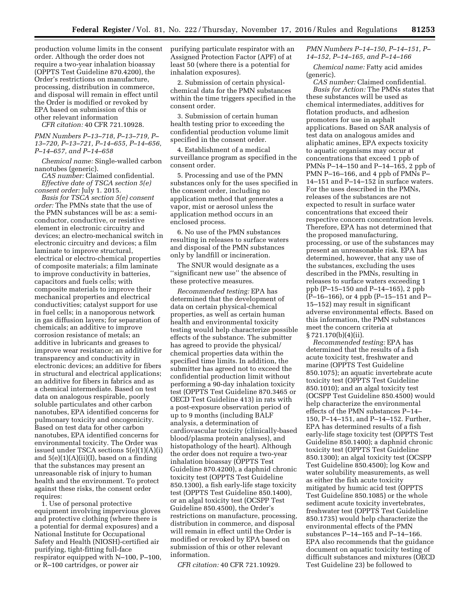production volume limits in the consent order. Although the order does not require a two-year inhalation bioassay (OPPTS Test Guideline 870.4200), the Order's restrictions on manufacture, processing, distribution in commerce, and disposal will remain in effect until the Order is modified or revoked by EPA based on submission of this or other relevant information

*CFR citation:* 40 CFR 721.10928.

## *PMN Numbers P–13–718, P–13–719, P– 13–720, P–13–721, P–14–655, P–14–656, P–14–657, and P–14–658*

*Chemical name:* Single-walled carbon nanotubes (generic).

*CAS number:* Claimed confidential. *Effective date of TSCA section 5(e) consent order:* July 1. 2015.

*Basis for TSCA section 5(e) consent order:* The PMNs state that the use of the PMN substances will be as: a semiconductor, conductive, or resistive element in electronic circuitry and devices; an electro-mechanical switch in electronic circuitry and devices; a film laminate to improve structural, electrical or electro-chemical properties of composite materials; a film laminate to improve conductivity in batteries, capacitors and fuels cells; with composite materials to improve their mechanical properties and electrical conductivities; catalyst support for use in fuel cells; in a nanoporous network in gas diffusion layers; for separation of chemicals; an additive to improve corrosion resistance of metals; an additive in lubricants and greases to improve wear resistance; an additive for transparency and conductivity in electronic devices; an additive for fibers in structural and electrical applications; an additive for fibers in fabrics and as a chemical intermediate. Based on test data on analogous respirable, poorly soluble particulates and other carbon nanotubes, EPA identified concerns for pulmonary toxicity and oncogenicity. Based on test data for other carbon nanotubes, EPA identified concerns for environmental toxicity. The Order was issued under TSCA sections 5(e)(1)(A)(i) and  $5(e)(1)(A)(ii)(I)$ , based on a finding that the substances may present an unreasonable risk of injury to human health and the environment. To protect against these risks, the consent order requires:

1. Use of personal protective equipment involving impervious gloves and protective clothing (where there is a potential for dermal exposures) and a National Institute for Occupational Safety and Health (NIOSH)-certified air purifying, tight-fitting full-face respirator equipped with N–100, P–100, or R–100 cartridges, or power air

purifying particulate respirator with an Assigned Protection Factor (APF) of at least 50 (where there is a potential for inhalation exposures).

2. Submission of certain physicalchemical data for the PMN substances within the time triggers specified in the consent order.

3. Submission of certain human health testing prior to exceeding the confidential production volume limit specified in the consent order.

4. Establishment of a medical surveillance program as specified in the consent order.

5. Processing and use of the PMN substances only for the uses specified in the consent order, including no application method that generates a vapor, mist or aerosol unless the application method occurs in an enclosed process.

6. No use of the PMN substances resulting in releases to surface waters and disposal of the PMN substances only by landfill or incineration.

The SNUR would designate as a ''significant new use'' the absence of these protective measures.

*Recommended testing:* EPA has determined that the development of data on certain physical-chemical properties, as well as certain human health and environmental toxicity testing would help characterize possible effects of the substance. The submitter has agreed to provide the physical/ chemical properties data within the specified time limits. In addition, the submitter has agreed not to exceed the confidential production limit without performing a 90-day inhalation toxicity test (OPPTS Test Guideline 870.3465 or OECD Test Guideline 413) in rats with a post-exposure observation period of up to 9 months (including BALF analysis, a determination of cardiovascular toxicity (clinically-based blood/plasma protein analyses), and histopathology of the heart). Although the order does not require a two-year inhalation bioassay (OPPTS Test Guideline 870.4200), a daphnid chronic toxicity test (OPPTS Test Guideline 850.1300), a fish early-life stage toxicity test (OPPTS Test Guideline 850.1400), or an algal toxicity test (OCSPP Test Guideline 850.4500), the Order's restrictions on manufacture, processing, distribution in commerce, and disposal will remain in effect until the Order is modified or revoked by EPA based on submission of this or other relevant information.

*CFR citation:* 40 CFR 721.10929.

## *PMN Numbers P–14–150, P–14–151, P– 14–152, P–14–165, and P–14–166*

*Chemical name:* Fatty acid amides (generic).

*CAS number:* Claimed confidential. *Basis for Action:* The PMNs states that these substances will be used as chemical intermediates, additives for flotation products, and adhesion promoters for use in asphalt applications. Based on SAR analysis of test data on analogous amides and aliphatic amines, EPA expects toxicity to aquatic organisms may occur at concentrations that exceed 1 ppb of PMNs P–14–150 and P–14–165, 2 ppb of PMN P–16–166, and 4 ppb of PMNs P– 14–151 and P–14–152 in surface waters. For the uses described in the PMNs, releases of the substances are not expected to result in surface water concentrations that exceed their respective concern concentration levels. Therefore, EPA has not determined that the proposed manufacturing, processing, or use of the substances may present an unreasonable risk. EPA has determined, however, that any use of the substances, excluding the uses described in the PMNs, resulting in releases to surface waters exceeding 1 ppb (P–15–150 and P–14–165), 2 ppb (P–16–166), or 4 ppb (P–15–151 and P– 15–152) may result in significant adverse environmental effects. Based on this information, the PMN substances meet the concern criteria at § 721.170(b)(4)(ii).

*Recommended testing:* EPA has determined that the results of a fish acute toxicity test, freshwater and marine (OPPTS Test Guideline 850.1075); an aquatic invertebrate acute toxicity test (OPPTS Test Guideline 850.1010); and an algal toxicity test (OCSPP Test Guideline 850.4500) would help characterize the environmental effects of the PMN substances P–14– 150, P–14–151, and P–14–152. Further, EPA has determined results of a fish early-life stage toxicity test (OPPTS Test Guideline 850.1400); a daphnid chronic toxicity test (OPPTS Test Guideline 850.1300); an algal toxicity test (OCSPP Test Guideline 850.4500); log Kow and water solubility measurements, as well as either the fish acute toxicity mitigated by humic acid test (OPPTS Test Guideline 850.1085) or the whole sediment acute toxicity invertebrates, freshwater test (OPPTS Test Guideline 850.1735) would help characterize the environmental effects of the PMN substances P–14–165 and P–14–166. EPA also recommends that the guidance document on aquatic toxicity testing of difficult substances and mixtures (OECD Test Guideline 23) be followed to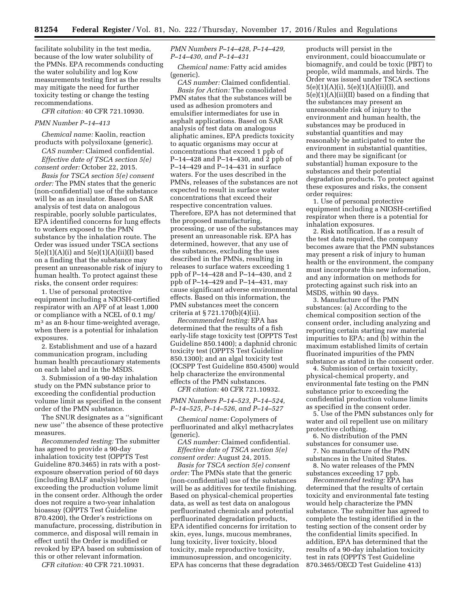facilitate solubility in the test media, because of the low water solubility of the PMNs. EPA recommends conducting the water solubility and log Kow measurements testing first as the results may mitigate the need for further toxicity testing or change the testing recommendations.

*CFR citation:* 40 CFR 721.10930.

## *PMN Number P–14–413*

*Chemical name:* Kaolin, reaction products with polysiloxane (generic).

*CAS number:* Claimed confidential. *Effective date of TSCA section 5(e) consent order:* October 22, 2015.

*Basis for TSCA section 5(e) consent order:* The PMN states that the generic (non-confidential) use of the substance will be as an insulator. Based on SAR analysis of test data on analogous respirable, poorly soluble particulates, EPA identified concerns for lung effects to workers exposed to the PMN substance by the inhalation route. The Order was issued under TSCA sections  $5(e)(1)(A)(i)$  and  $5(e)(1)(A)(ii)(I)$  based on a finding that the substance may present an unreasonable risk of injury to human health. To protect against these risks, the consent order requires:

1. Use of personal protective equipment including a NIOSH-certified respirator with an APF of at least 1,000 or compliance with a NCEL of 0.1 mg/ m<sup>3</sup> as an 8-hour time-weighted average, when there is a potential for inhalation exposures.

2. Establishment and use of a hazard communication program, including human health precautionary statements on each label and in the MSDS.

3. Submission of a 90-day inhalation study on the PMN substance prior to exceeding the confidential production volume limit as specified in the consent order of the PMN substance.

The SNUR designates as a ''significant new use'' the absence of these protective measures.

*Recommended testing:* The submitter has agreed to provide a 90-day inhalation toxicity test (OPPTS Test Guideline 870.3465) in rats with a postexposure observation period of 60 days (including BALF analysis) before exceeding the production volume limit in the consent order. Although the order does not require a two-year inhalation bioassay (OPPTS Test Guideline 870.4200), the Order's restrictions on manufacture, processing, distribution in commerce, and disposal will remain in effect until the Order is modified or revoked by EPA based on submission of this or other relevant information.

*CFR citation:* 40 CFR 721.10931.

# *PMN Numbers P–14–428, P–14–429, P–14–430, and P–14–431*

*Chemical name:* Fatty acid amides (generic).

*CAS number:* Claimed confidential. *Basis for Action:* The consolidated PMN states that the substances will be used as adhesion promoters and emulsifier intermediates for use in asphalt applications. Based on SAR analysis of test data on analogous aliphatic amines, EPA predicts toxicity to aquatic organisms may occur at concentrations that exceed 1 ppb of P–14–428 and P–14–430, and 2 ppb of P–14–429 and P–14–431 in surface waters. For the uses described in the PMNs, releases of the substances are not expected to result in surface water concentrations that exceed their respective concentration values. Therefore, EPA has not determined that the proposed manufacturing, processing, or use of the substances may present an unreasonable risk. EPA has determined, however, that any use of the substances, excluding the uses described in the PMNs, resulting in releases to surface waters exceeding 1 ppb of P–14–428 and P–14–430, and 2 ppb of P–14–429 and P–14–431, may cause significant adverse environmental effects. Based on this information, the PMN substances meet the concern criteria at § 721.170(b)(4)(ii).

*Recommended testing:* EPA has determined that the results of a fish early-life stage toxicity test (OPPTS Test Guideline 850.1400); a daphnid chronic toxicity test (OPPTS Test Guideline 850.1300); and an algal toxicity test (OCSPP Test Guideline 850.4500) would help characterize the environmental effects of the PMN substances.

*CFR citation:* 40 CFR 721.10932.

## *PMN Numbers P–14–523, P–14–524, P–14–525, P–14–526, and P–14–527*

*Chemical name:* Copolymers of perfluorinated and alkyl methacrylates (generic).

*CAS number:* Claimed confidential. *Effective date of TSCA section 5(e) consent order:* August 24, 2015.

*Basis for TSCA section 5(e) consent order:* The PMNs state that the generic (non-confidential) use of the substances will be as additives for textile finishing. Based on physical-chemical properties data, as well as test data on analogous perfluorinated chemicals and potential perfluorinated degradation products, EPA identified concerns for irritation to skin, eyes, lungs, mucous membranes, lung toxicity, liver toxicity, blood toxicity, male reproductive toxicity, immunosupression, and oncogenicity. EPA has concerns that these degradation

products will persist in the environment, could bioaccumulate or biomagnify, and could be toxic (PBT) to people, wild mammals, and birds. The Order was issued under TSCA sections  $5(e)(1)(A)(i), 5(e)(1)(A)(ii)(I), and$ 5(e)(1)(A)(ii)(II) based on a finding that the substances may present an unreasonable risk of injury to the environment and human health, the substances may be produced in substantial quantities and may reasonably be anticipated to enter the environment in substantial quantities, and there may be significant (or substantial) human exposure to the substances and their potential degradation products. To protect against these exposures and risks, the consent order requires:

1. Use of personal protective equipment including a NIOSH-certified respirator when there is a potential for inhalation exposures.

2. Risk notification. If as a result of the test data required, the company becomes aware that the PMN substances may present a risk of injury to human health or the environment, the company must incorporate this new information, and any information on methods for protecting against such risk into an MSDS, within 90 days.

3. Manufacture of the PMN substances: (a) According to the chemical composition section of the consent order, including analyzing and reporting certain starting raw material impurities to EPA; and (b) within the maximum established limits of certain fluorinated impurities of the PMN substance as stated in the consent order.

4. Submission of certain toxicity, physical-chemical property, and environmental fate testing on the PMN substance prior to exceeding the confidential production volume limits as specified in the consent order.

5. Use of the PMN substances only for water and oil repellent use on military protective clothing.

6. No distribution of the PMN substances for consumer use.

7. No manufacture of the PMN substances in the United States.

8. No water releases of the PMN substances exceeding 17 ppb.

*Recommended testing:* EPA has determined that the results of certain toxicity and environmental fate testing would help characterize the PMN substance. The submitter has agreed to complete the testing identified in the testing section of the consent order by the confidential limits specified. In addition, EPA has determined that the results of a 90-day inhalation toxicity test in rats (OPPTS Test Guideline 870.3465/OECD Test Guideline 413)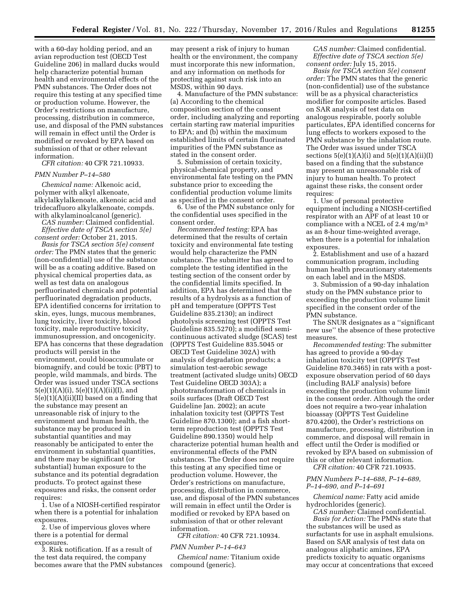with a 60-day holding period, and an avian reproduction test (OECD Test Guideline 206) in mallard ducks would help characterize potential human health and environmental effects of the PMN substances. The Order does not require this testing at any specified time or production volume. However, the Order's restrictions on manufacture, processing, distribution in commerce, use, and disposal of the PMN substances will remain in effect until the Order is modified or revoked by EPA based on submission of that or other relevant information.

*CFR citation:* 40 CFR 721.10933.

#### *PMN Number P–14–580*

*Chemical name:* Alkenoic acid, polymer with alkyl alkenoate, alkylalkylalkenoate, alkenoic acid and tridecafluoro alkylalkenoate, compds. with alkylaminoalcanol (generic).

*CAS number:* Claimed confidential. *Effective date of TSCA section 5(e) consent order:* October 21, 2015.

*Basis for TSCA section 5(e) consent order:* The PMN states that the generic (non-confidential) use of the substance will be as a coating additive. Based on physical chemical properties data, as well as test data on analogous perfluorinated chemicals and potential perfluorinated degradation products, EPA identified concerns for irritation to skin, eyes, lungs, mucous membranes, lung toxicity, liver toxicity, blood toxicity, male reproductive toxicity, immunosupression, and oncogenicity. EPA has concerns that these degradation products will persist in the environment, could bioaccumulate or biomagnify, and could be toxic (PBT) to people, wild mammals, and birds. The Order was issued under TSCA sections  $5(e)(1)(A)(i), 5(e)(1)(A)(ii)(I), and$ 5(e)(1)(A)(ii)(II) based on a finding that the substance may present an unreasonable risk of injury to the environment and human health, the substance may be produced in substantial quantities and may reasonably be anticipated to enter the environment in substantial quantities, and there may be significant (or substantial) human exposure to the substance and its potential degradation products. To protect against these exposures and risks, the consent order requires:

1. Use of a NIOSH-certified respirator when there is a potential for inhalation exposures.

2. Use of impervious gloves where there is a potential for dermal exposures.

3. Risk notification. If as a result of the test data required, the company becomes aware that the PMN substances

may present a risk of injury to human health or the environment, the company must incorporate this new information, and any information on methods for protecting against such risk into an MSDS, within 90 days.

4. Manufacture of the PMN substance: (a) According to the chemical composition section of the consent order, including analyzing and reporting certain starting raw material impurities to EPA; and (b) within the maximum established limits of certain fluorinated impurities of the PMN substance as stated in the consent order.

5. Submission of certain toxicity, physical-chemical property, and environmental fate testing on the PMN substance prior to exceeding the confidential production volume limits as specified in the consent order.

6. Use of the PMN substance only for the confidential uses specified in the consent order.

*Recommended testing:* EPA has determined that the results of certain toxicity and environmental fate testing would help characterize the PMN substance. The submitter has agreed to complete the testing identified in the testing section of the consent order by the confidential limits specified. In addition, EPA has determined that the results of a hydrolysis as a function of pH and temperature (OPPTS Test Guideline 835.2130); an indirect photolysis screening test (OPPTS Test Guideline 835.5270); a modified semicontinuous activated sludge (SCAS) test (OPPTS Test Guideline 835.5045 or OECD Test Guideline 302A) with analysis of degradation products; a simulation test-aerobic sewage treatment (activated sludge units) OECD Test Guideline OECD 303A); a phototransformation of chemicals in soils surfaces (Draft OECD Test Guideline Jan. 2002); an acute inhalation toxicity test (OPPTS Test Guideline 870.1300); and a fish shortterm reproduction test (OPPTS Test Guideline 890.1350) would help characterize potential human health and environmental effects of the PMN substances. The Order does not require this testing at any specified time or production volume. However, the Order's restrictions on manufacture, processing, distribution in commerce, use, and disposal of the PMN substances will remain in effect until the Order is modified or revoked by EPA based on submission of that or other relevant information.

*CFR citation:* 40 CFR 721.10934.

## *PMN Number P–14–643*

*Chemical name:* Titanium oxide compound (generic).

*CAS number:* Claimed confidential. *Effective date of TSCA section 5(e) consent order:* July 15, 2015.

*Basis for TSCA section 5(e) consent order:* The PMN states that the generic (non-confidential) use of the substance will be as a physical characteristics modifier for composite articles. Based on SAR analysis of test data on analogous respirable, poorly soluble particulates, EPA identified concerns for lung effects to workers exposed to the PMN substance by the inhalation route. The Order was issued under TSCA sections  $5(e)(1)(A)(i)$  and  $5(e)(1)(A)(ii)(I)$ based on a finding that the substance may present an unreasonable risk of injury to human health. To protect against these risks, the consent order requires:

1. Use of personal protective equipment including a NIOSH-certified respirator with an APF of at least 10 or compliance with a NCEL of 2.4 mg/m3 as an 8-hour time-weighted average, when there is a potential for inhalation exposures.

2. Establishment and use of a hazard communication program, including human health precautionary statements on each label and in the MSDS.

3. Submission of a 90-day inhalation study on the PMN substance prior to exceeding the production volume limit specified in the consent order of the PMN substance.

The SNUR designates as a ''significant new use'' the absence of these protective measures.

*Recommended testing:* The submitter has agreed to provide a 90-day inhalation toxicity test (OPPTS Test Guideline 870.3465) in rats with a postexposure observation period of 60 days (including BALF analysis) before exceeding the production volume limit in the consent order. Although the order does not require a two-year inhalation bioassay (OPPTS Test Guideline 870.4200), the Order's restrictions on manufacture, processing, distribution in commerce, and disposal will remain in effect until the Order is modified or revoked by EPA based on submission of this or other relevant information.

*CFR citation:* 40 CFR 721.10935.

#### *PMN Numbers P–14–688, P–14–689, P–14–690, and P–14–691*

*Chemical name:* Fatty acid amide hydrochlorides (generic).

*CAS number:* Claimed confidential. *Basis for Action:* The PMNs state that the substances will be used as surfactants for use in asphalt emulsions. Based on SAR analysis of test data on analogous aliphatic amines, EPA predicts toxicity to aquatic organisms may occur at concentrations that exceed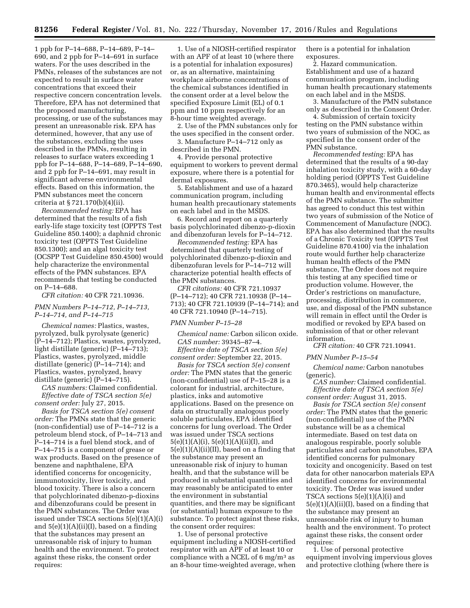1 ppb for P–14–688, P–14–689, P–14– 690, and 2 ppb for P–14–691 in surface waters. For the uses described in the PMNs, releases of the substances are not expected to result in surface water concentrations that exceed their respective concern concentration levels. Therefore, EPA has not determined that the proposed manufacturing, processing, or use of the substances may present an unreasonable risk. EPA has determined, however, that any use of the substances, excluding the uses described in the PMNs, resulting in releases to surface waters exceeding 1 ppb for P–14–688, P–14–689, P–14–690, and 2 ppb for P–14–691, may result in significant adverse environmental effects. Based on this information, the PMN substances meet the concern criteria at § 721.170(b)(4)(ii).

*Recommended testing:* EPA has determined that the results of a fish early-life stage toxicity test (OPPTS Test Guideline 850.1400); a daphnid chronic toxicity test (OPPTS Test Guideline 850.1300); and an algal toxicity test (OCSPP Test Guideline 850.4500) would help characterize the environmental effects of the PMN substances. EPA recommends that testing be conducted on P–14–688.

*CFR citation:* 40 CFR 721.10936.

*PMN Numbers P–14–712, P–14–713, P–14–714, and P–14–715* 

*Chemical names:* Plastics, wastes, pyrolyzed, bulk pyrolysate (generic) (P–14–712); Plastics, wastes, pyrolyzed, light distillate (generic) (P–14–713); Plastics, wastes, pyrolyzed, middle distillate (generic) (P–14–714); and Plastics, wastes, pyrolyzed, heavy distillate (generic) (P–14–715).

*CAS numbers:* Claimed confidential. *Effective date of TSCA section 5(e) consent order:* July 27, 2015.

*Basis for TSCA section 5(e) consent order:* The PMNs state that the generic (non-confidential) use of P–14–712 is a petroleum blend stock, of P–14–713 and P–14–714 is a fuel blend stock, and of P–14–715 is a component of grease or wax products. Based on the presence of benzene and naphthalene, EPA identified concerns for oncogenicity, immunotoxicity, liver toxicity, and blood toxicity. There is also a concern that polychlorinated dibenzo-p-dioxins and dibenzofurans could be present in the PMN substances. The Order was issued under TSCA sections 5(e)(1)(A)(i) and  $5(e)(1)(A)(ii)(I)$ , based on a finding that the substances may present an unreasonable risk of injury to human health and the environment. To protect against these risks, the consent order requires:

1. Use of a NIOSH-certified respirator with an APF of at least 10 (where there is a potential for inhalation exposures) or, as an alternative, maintaining workplace airborne concentrations of the chemical substances identified in the consent order at a level below the specified Exposure Limit (EL) of 0.1 ppm and 10 ppm respectively for an 8-hour time weighted average.

2. Use of the PMN substances only for the uses specified in the consent order.

3. Manufacture P–14–712 only as described in the PMN.

4. Provide personal protective equipment to workers to prevent dermal exposure, where there is a potential for dermal exposures.

5. Establishment and use of a hazard communication program, including human health precautionary statements on each label and in the MSDS.

6. Record and report on a quarterly basis polychlorinated dibenzo-p-dioxin and dibenzofuran levels for P–14–712.

*Recommended testing:* EPA has determined that quarterly testing of polychlorinated dibenzo-p-dioxin and dibenzofuran levels for P–14–712 will characterize potential health effects of the PMN substances.

*CFR citations:* 40 CFR 721.10937 (P–14–712); 40 CFR 721.10938 (P–14– 713); 40 CFR 721.10939 (P–14–714); and 40 CFR 721.10940 (P–14–715).

#### *PMN Number P–15–28*

*Chemical name:* Carbon silicon oxide. *CAS number:* 39345–87–4. *Effective date of TSCA section 5(e)* 

*consent order:* September 22, 2015. *Basis for TSCA section 5(e) consent* 

*order:* The PMN states that the generic (non-confidential) use of P–15–28 is a colorant for industrial, architecture, plastics, inks and automotive applications. Based on the presence on data on structurally analogous poorly soluble particulates, EPA identified concerns for lung overload. The Order was issued under TSCA sections 5(e)(1)(A)(i), 5(e)(1)(A)(ii)(I), and  $5(e)(1)(A)(ii)(II)$ , based on a finding that the substance may present an unreasonable risk of injury to human health, and that the substance will be produced in substantial quantities and may reasonably be anticipated to enter the environment in substantial quantities, and there may be significant (or substantial) human exposure to the substance. To protect against these risks, the consent order requires:

1. Use of personal protective equipment including a NIOSH-certified respirator with an APF of at least 10 or compliance with a NCEL of 6 mg/m3 as an 8-hour time-weighted average, when

there is a potential for inhalation exposures.

2. Hazard communication. Establishment and use of a hazard communication program, including human health precautionary statements on each label and in the MSDS.

3. Manufacture of the PMN substance only as described in the Consent Order.

4. Submission of certain toxicity testing on the PMN substance within two years of submission of the NOC, as specified in the consent order of the PMN substance.

*Recommended testing:* EPA has determined that the results of a 90-day inhalation toxicity study, with a 60-day holding period (OPPTS Test Guideline 870.3465), would help characterize human health and environmental effects of the PMN substance. The submitter has agreed to conduct this test within two years of submission of the Notice of Commencement of Manufacture (NOC). EPA has also determined that the results of a Chronic Toxicity test (OPPTS Test Guideline 870.4100) via the inhalation route would further help characterize human health effects of the PMN substance, The Order does not require this testing at any specified time or production volume. However, the Order's restrictions on manufacture, processing, distribution in commerce, use, and disposal of the PMN substance will remain in effect until the Order is modified or revoked by EPA based on submission of that or other relevant information.

*CFR citation:* 40 CFR 721.10941.

## *PMN Number P–15–54*

*Chemical name:* Carbon nanotubes (generic).

*CAS number:* Claimed confidential. *Effective date of TSCA section 5(e) consent order:* August 31, 2015.

*Basis for TSCA section 5(e) consent order:* The PMN states that the generic (non-confidential) use of the PMN substance will be as a chemical intermediate. Based on test data on analogous respirable, poorly soluble particulates and carbon nanotubes, EPA identified concerns for pulmonary toxicity and oncogenicity. Based on test data for other nanocarbon materials EPA identified concerns for environmental toxicity. The Order was issued under TSCA sections 5(e)(1)(A)(i) and  $5(e)(1)(A)(ii)(I)$ , based on a finding that the substance may present an unreasonable risk of injury to human health and the environment. To protect against these risks, the consent order requires:

1. Use of personal protective equipment involving impervious gloves and protective clothing (where there is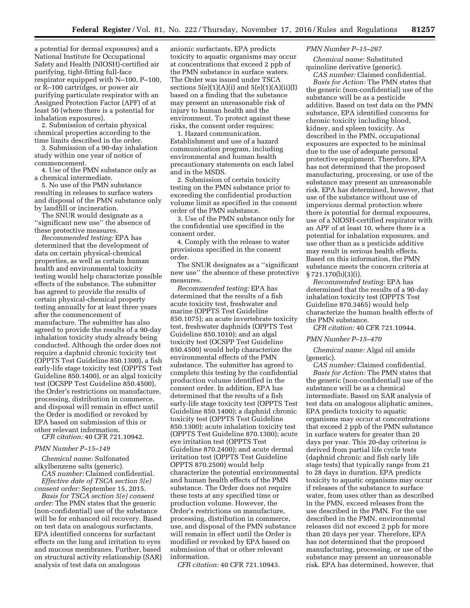a potential for dermal exposures) and a National Institute for Occupational Safety and Health (NIOSH)-certified air purifying, tight-fitting full-face respirator equipped with N–100, P–100, or R–100 cartridges, or power air purifying particulate respirator with an Assigned Protection Factor (APF) of at least 50 (where there is a potential for inhalation exposures).

2. Submission of certain physical chemical properties according to the time limits described in the order.

3. Submission of a 90-day inhalation study within one year of notice of commencement.

4. Use of the PMN substance only as a chemical intermediate.

5. No use of the PMN substance resulting in releases to surface waters and disposal of the PMN substance only by landfill or incineration.

The SNUR would designate as a ''significant new use'' the absence of these protective measures.

*Recommended testing:* EPA has determined that the development of data on certain physical-chemical properties, as well as certain human health and environmental toxicity testing would help characterize possible effects of the substance. The submitter has agreed to provide the results of certain physical-chemical property testing annually for at least three years after the commencement of manufacture. The submitter has also agreed to provide the results of a 90-day inhalation toxicity study already being conducted. Although the order does not require a daphnid chronic toxicity test (OPPTS Test Guideline 850.1300), a fish early-life stage toxicity test (OPPTS Test Guideline 850.1400), or an algal toxicity test (OCSPP Test Guideline 850.4500), the Order's restrictions on manufacture, processing, distribution in commerce, and disposal will remain in effect until the Order is modified or revoked by EPA based on submission of this or other relevant information.

*CFR citation:* 40 CFR 721.10942.

# *PMN Number P–15–149*

*Chemical name:* Sulfonated alkylbenzene salts (generic).

*CAS number:* Claimed confidential. *Effective date of TSCA section 5(e) consent order:* September 15, 2015.

*Basis for TSCA section 5(e) consent order:* The PMN states that the generic (non-confidential) use of the substance will be for enhanced oil recovery. Based on test data on analogous surfactants, EPA identified concerns for surfactant effects on the lung and irritation to eyes and mucous membranes. Further, based on structural activity relationship (SAR) analysis of test data on analogous

anionic surfactants, EPA predicts toxicity to aquatic organisms may occur at concentrations that exceed 2 ppb of the PMN substance in surface waters. The Order was issued under TSCA sections  $5(e)(1)(A)(i)$  and  $5(e)(1)(A)(ii)(I)$ based on a finding that the substance may present an unreasonable risk of injury to human health and the environment. To protect against these risks, the consent order requires:

1. Hazard communication. Establishment and use of a hazard communication program, including environmental and human health precautionary statements on each label and in the MSDS.

2. Submission of certain toxicity testing on the PMN substance prior to exceeding the confidential production volume limit as specified in the consent order of the PMN substance.

3. Use of the PMN substance only for the confidential use specified in the consent order.

4. Comply with the release to water provisions specified in the consent order.

The SNUR designates as a ''significant new use'' the absence of these protective measures.

*Recommended testing:* EPA has determined that the results of a fish acute toxicity test, freshwater and marine (OPPTS Test Guideline 850.1075); an acute invertebrate toxicity test, freshwater daphnids (OPPTS Test Guideline 850.1010); and an algal toxicity test (OCSPP Test Guideline 850.4500) would help characterize the environmental effects of the PMN substance. The submitter has agreed to complete this testing by the confidential production volume identified in the consent order. In addition, EPA has determined that the results of a fish early-life stage toxicity test (OPPTS Test Guideline 850.1400); a daphnid chronic toxicity test (OPPTS Test Guideline 850.1300); acute inhalation toxicity test (OPPTS Test Guideline 870.1300); acute eye irritation test (OPPTS Test Guideline 870.2400); and acute dermal irritation test (OPPTS Test Guideline OPPTS 870.2500) would help characterize the potential environmental and human health effects of the PMN substance. The Order does not require these tests at any specified time or production volume. However, the Order's restrictions on manufacture, processing, distribution in commerce, use, and disposal of the PMN substance will remain in effect until the Order is modified or revoked by EPA based on submission of that or other relevant information.

*CFR citation:* 40 CFR 721.10943.

## *PMN Number P–15–267*

*Chemical name:* Substituted quinoline derivative (generic). *CAS number:* Claimed confidential.

*Basis for Action:* The PMN states that the generic (non-confidential) use of the substance will be as a pesticide additive. Based on test data on the PMN substance, EPA identified concerns for chronic toxicity including blood, kidney, and spleen toxicity. As described in the PMN, occupational exposures are expected to be minimal due to the use of adequate personal protective equipment. Therefore, EPA has not determined that the proposed manufacturing, processing, or use of the substance may present an unreasonable risk. EPA has determined, however, that use of the substance without use of impervious dermal protection where there is potential for dermal exposures, use of a NIOSH-certified respirator with an APF of at least 10, where there is a potential for inhalation exposures, and use other than as a pesticide additive may result in serious health effects. Based on this information, the PMN substance meets the concern criteria at § 721.170(b)(3)(i).

*Recommended testing:* EPA has determined that the results of a 90-day inhalation toxicity test (OPPTS Test Guideline 870.3465) would help characterize the human health effects of the PMN substance.

*CFR citation:* 40 CFR 721.10944.

#### *PMN Number P–15–470*

*Chemical name:* Algal oil amide (generic).

*CAS number:* Claimed confidential. *Basis for Action:* The PMN states that the generic (non-confidential) use of the substance will be as a chemical intermediate. Based on SAR analysis of test data on analogous aliphatic amines, EPA predicts toxicity to aquatic organisms may occur at concentrations that exceed 2 ppb of the PMN substance in surface waters for greater than 20 days per year. This 20-day criterion is derived from partial life cycle tests (daphnid chronic and fish early life stage tests) that typically range from 21 to 28 days in duration. EPA predicts toxicity to aquatic organisms may occur if releases of the substance to surface water, from uses other than as described in the PMN, exceed releases from the use described in the PMN. For the use described in the PMN, environmental releases did not exceed 2 ppb for more than 20 days per year. Therefore, EPA has not determined that the proposed manufacturing, processing, or use of the substance may present an unreasonable risk. EPA has determined, however, that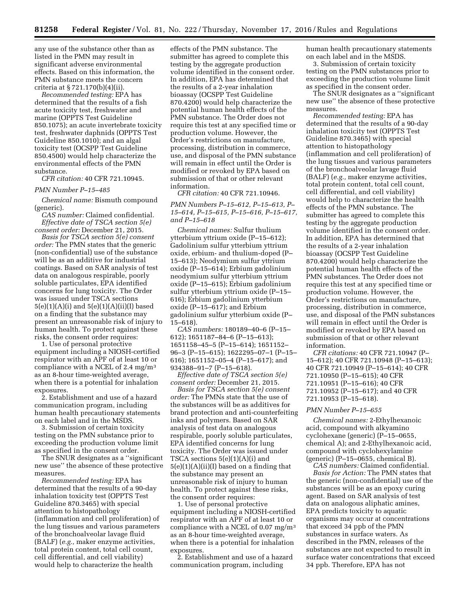any use of the substance other than as listed in the PMN may result in significant adverse environmental effects. Based on this information, the PMN substance meets the concern criteria at § 721.170(b)(4)(ii).

*Recommended testing:* EPA has determined that the results of a fish acute toxicity test, freshwater and marine (OPPTS Test Guideline 850.1075); an acute invertebrate toxicity test, freshwater daphnids (OPPTS Test Guideline 850.1010); and an algal toxicity test (OCSPP Test Guideline 850.4500) would help characterize the environmental effects of the PMN substance.

## *CFR citation:* 40 CFR 721.10945.

#### *PMN Number P–15–485*

*Chemical name:* Bismuth compound (generic).

*CAS number:* Claimed confidential. *Effective date of TSCA section 5(e) consent order:* December 21, 2015.

*Basis for TSCA section 5(e) consent order:* The PMN states that the generic (non-confidential) use of the substance will be as an additive for industrial coatings. Based on SAR analysis of test data on analogous respirable, poorly soluble particulates, EPA identified concerns for lung toxicity. The Order was issued under TSCA sections  $5(e)(1)(A)(i)$  and  $5(e)(1)(A)(ii)(I)$  based on a finding that the substance may present an unreasonable risk of injury to human health. To protect against these risks, the consent order requires:

1. Use of personal protective equipment including a NIOSH-certified respirator with an APF of at least 10 or compliance with a NCEL of 2.4 mg/m3 as an 8-hour time-weighted average, when there is a potential for inhalation exposures.

2. Establishment and use of a hazard communication program, including human health precautionary statements on each label and in the MSDS.

3. Submission of certain toxicity testing on the PMN substance prior to exceeding the production volume limit as specified in the consent order.

The SNUR designates as a ''significant new use'' the absence of these protective measures.

*Recommended testing:* EPA has determined that the results of a 90-day inhalation toxicity test (OPPTS Test Guideline 870.3465) with special attention to histopathology (inflammation and cell proliferation) of the lung tissues and various parameters of the bronchoalveolar lavage fluid (BALF) (*e.g.,* maker enzyme activities, total protein content, total cell count, cell differential, and cell viability) would help to characterize the health

effects of the PMN substance. The submitter has agreed to complete this testing by the aggregate production volume identified in the consent order. In addition, EPA has determined that the results of a 2-year inhalation bioassay (OCSPP Test Guideline 870.4200) would help characterize the potential human health effects of the PMN substance. The Order does not require this test at any specified time or production volume. However, the Order's restrictions on manufacture, processing, distribution in commerce, use, and disposal of the PMN substance will remain in effect until the Order is modified or revoked by EPA based on submission of that or other relevant information.

*CFR citation:* 40 CFR 721.10946.

# *PMN Numbers P–15–612, P–15–613, P– 15–614, P–15–615, P–15–616, P–15–617, and P–15–618*

*Chemical names:* Sulfur thulium ytterbium yttrium oxide (P–15–612); Gadolinium sulfur ytterbium yttrium oxide, erbium- and thulium-doped (P– 15–613); Neodymium sulfur yttrium oxide (P–15–614); Erbium gadolinium neodymium sulfur ytterbium yttrium oxide (P–15–615); Erbium gadolinium sulfur ytterbium yttrium oxide (P–15– 616); Erbium gadolinium ytterbium oxide (P–15–617); and Erbium gadolinium sulfur ytterbium oxide (P– 15–618).

*CAS numbers:* 180189–40–6 (P–15– 612); 1651187–84–6 (P–15–613); 1651158–45–5 (P–15–614); 1651152– 96–3 (P–15–615); 1622295–07–1 (P–15– 616); 1651152–05–4 (P–15–617); and 934388–91–7 (P–15–618).

*Effective date of TSCA section 5(e) consent order:* December 21, 2015.

*Basis for TSCA section 5(e) consent order:* The PMNs state that the use of the substances will be as additives for brand protection and anti-counterfeiting inks and polymers. Based on SAR analysis of test data on analogous respirable, poorly soluble particulates, EPA identified concerns for lung toxicity. The Order was issued under TSCA sections 5(e)(1)(A)(i) and 5(e)(1)(A)(ii)(I) based on a finding that the substance may present an unreasonable risk of injury to human health. To protect against these risks, the consent order requires:

1. Use of personal protective equipment including a NIOSH-certified respirator with an APF of at least 10 or compliance with a NCEL of 0.07 mg/m3 as an 8-hour time-weighted average, when there is a potential for inhalation exposures.

2. Establishment and use of a hazard communication program, including

human health precautionary statements on each label and in the MSDS.

3. Submission of certain toxicity testing on the PMN substances prior to exceeding the production volume limit as specified in the consent order.

The SNUR designates as a ''significant new use'' the absence of these protective measures.

*Recommended testing:* EPA has determined that the results of a 90-day inhalation toxicity test (OPPTS Test Guideline 870.3465) with special attention to histopathology (inflammation and cell proliferation) of the lung tissues and various parameters of the bronchoalveolar lavage fluid (BALF) (*e.g.,* maker enzyme activities, total protein content, total cell count, cell differential, and cell viability) would help to characterize the health effects of the PMN substance. The submitter has agreed to complete this testing by the aggregate production volume identified in the consent order. In addition, EPA has determined that the results of a 2-year inhalation bioassay (OCSPP Test Guideline 870.4200) would help characterize the potential human health effects of the PMN substances. The Order does not require this test at any specified time or production volume. However, the Order's restrictions on manufacture, processing, distribution in commerce, use, and disposal of the PMN substances will remain in effect until the Order is modified or revoked by EPA based on submission of that or other relevant information.

*CFR citations:* 40 CFR 721.10947 (P– 15–612); 40 CFR 721.10948 (P–15–613); 40 CFR 721.10949 (P–15–614); 40 CFR 721.10950 (P–15–615); 40 CFR 721.10951 (P–15–616); 40 CFR 721.10952 (P–15–617); and 40 CFR 721.10953 (P–15–618).

## *PMN Number P–15–655*

*Chemical names:* 2-Ethylhexanoic acid, compound with alkyamino cyclohexane (generic) (P-15-0655, chemical A); and 2-Ethylhexanoic acid, compound with cyclohexylamine (generic) (P–15–0655, chemical B).

*CAS numbers:* Claimed confidential. *Basis for Action:* The PMN states that the generic (non-confidential) use of the substances will be as an epoxy curing agent. Based on SAR analysis of test data on analogous aliphatic amines, EPA predicts toxicity to aquatic organisms may occur at concentrations that exceed 34 ppb of the PMN substances in surface waters. As described in the PMN, releases of the substances are not expected to result in surface water concentrations that exceed 34 ppb. Therefore, EPA has not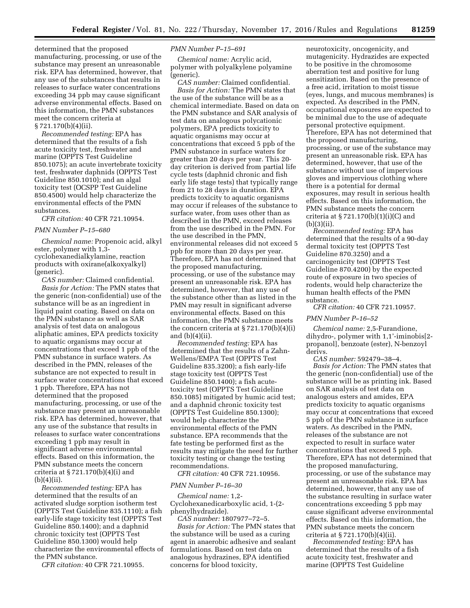determined that the proposed manufacturing, processing, or use of the substance may present an unreasonable risk. EPA has determined, however, that any use of the substances that results in releases to surface water concentrations exceeding 34 ppb may cause significant adverse environmental effects. Based on this information, the PMN substances meet the concern criteria at § 721.170(b)(4)(ii).

*Recommended testing:* EPA has determined that the results of a fish acute toxicity test, freshwater and marine (OPPTS Test Guideline 850.1075); an acute invertebrate toxicity test, freshwater daphnids (OPPTS Test Guideline 850.1010); and an algal toxicity test (OCSPP Test Guideline 850.4500) would help characterize the environmental effects of the PMN substances.

*CFR citation:* 40 CFR 721.10954.

#### *PMN Number P–15–680*

*Chemical name:* Propenoic acid, alkyl ester, polymer with 1,3 cyclohexanedialkylamine, reaction products with oxirane(alkoxyalkyl) (generic).

*CAS number:* Claimed confidential. *Basis for Action:* The PMN states that the generic (non-confidential) use of the substance will be as an ingredient in liquid paint coating. Based on data on the PMN substance as well as SAR analysis of test data on analogous aliphatic amines, EPA predicts toxicity to aquatic organisms may occur at concentrations that exceed 1 ppb of the PMN substance in surface waters. As described in the PMN, releases of the substance are not expected to result in surface water concentrations that exceed 1 ppb. Therefore, EPA has not determined that the proposed manufacturing, processing, or use of the substance may present an unreasonable risk. EPA has determined, however, that any use of the substance that results in releases to surface water concentrations exceeding 1 ppb may result in significant adverse environmental effects. Based on this information, the PMN substance meets the concern criteria at § 721.170(b)(4)(i) and  $(b)(4)(ii)$ .

*Recommended testing:* EPA has determined that the results of an activated sludge sorption isotherm test (OPPTS Test Guideline 835.1110); a fish early-life stage toxicity test (OPPTS Test Guideline 850.1400); and a daphnid chronic toxicity test (OPPTS Test Guideline 850.1300) would help characterize the environmental effects of the PMN substance.

*CFR citation:* 40 CFR 721.10955.

## *PMN Number P–15–691*

*Chemical name:* Acrylic acid, polymer with polyalkylene polyamine (generic).

*CAS number:* Claimed confidential. *Basis for Action:* The PMN states that the use of the substance will be as a chemical intermediate. Based on data on the PMN substance and SAR analysis of test data on analogous polycationic polymers, EPA predicts toxicity to aquatic organisms may occur at concentrations that exceed 5 ppb of the PMN substance in surface waters for greater than 20 days per year. This 20 day criterion is derived from partial life cycle tests (daphnid chronic and fish early life stage tests) that typically range from 21 to 28 days in duration. EPA predicts toxicity to aquatic organisms may occur if releases of the substance to surface water, from uses other than as described in the PMN, exceed releases from the use described in the PMN. For the use described in the PMN, environmental releases did not exceed 5 ppb for more than 20 days per year. Therefore, EPA has not determined that the proposed manufacturing, processing, or use of the substance may present an unreasonable risk. EPA has determined, however, that any use of the substance other than as listed in the PMN may result in significant adverse environmental effects. Based on this information, the PMN substance meets the concern criteria at  $\S 721.170(b)(4)(i)$ and  $(b)(4)(ii)$ .

*Recommended testing:* EPA has determined that the results of a Zahn-Wellens/EMPA Test (OPPTS Test Guideline 835.3200); a fish early-life stage toxicity test (OPPTS Test Guideline 850.1400); a fish acutetoxicity test (OPPTS Test Guideline 850.1085) mitigated by humic acid test; and a daphnid chronic toxicity test (OPPTS Test Guideline 850.1300); would help characterize the environmental effects of the PMN substance. EPA recommends that the fate testing be performed first as the results may mitigate the need for further toxicity testing or change the testing recommendations.

*CFR citation:* 40 CFR 721.10956.

## *PMN Number P–16–30*

*Chemical name:* 1,2- Cyclohexanedicarboxylic acid, 1-(2 phenylhydrazide).

*CAS number:* 1807977–72–5. *Basis for Action:* The PMN states that the substance will be used as a curing agent in anaerobic adhesive and sealant formulations. Based on test data on analogous hydrazines, EPA identified concerns for blood toxicity,

neurotoxicity, oncogenicity, and mutagenicity. Hydrazides are expected to be positive in the chromosome aberration test and positive for lung sensitization. Based on the presence of a free acid, irritation to moist tissue (eyes, lungs, and mucous membranes) is expected. As described in the PMN, occupational exposures are expected to be minimal due to the use of adequate personal protective equipment. Therefore, EPA has not determined that the proposed manufacturing, processing, or use of the substance may present an unreasonable risk. EPA has determined, however, that use of the substance without use of impervious gloves and impervious clothing where there is a potential for dermal exposures, may result in serious health effects. Based on this information, the PMN substance meets the concern criteria at  $\S 721.170(b)(1)(i)(C)$  and  $(b)(3)(ii).$ 

*Recommended testing:* EPA has determined that the results of a 90-day dermal toxicity test (OPPTS Test Guideline 870.3250) and a carcinogenicity test (OPPTS Test Guideline 870.4200) by the expected route of exposure in two species of rodents, would help characterize the human health effects of the PMN substance.

*CFR citation:* 40 CFR 721.10957.

## *PMN Number P–16–52*

*Chemical name:* 2,5-Furandione, dihydro-, polymer with 1,1'-iminobis[2 propanol], benzoate (ester), N-benzoyl derivs.

*CAS number:* 592479–38–4. *Basis for Action:* The PMN states that the generic (non-confidential) use of the substance will be as printing ink. Based on SAR analysis of test data on analogous esters and amides, EPA predicts toxicity to aquatic organisms may occur at concentrations that exceed 5 ppb of the PMN substance in surface waters. As described in the PMN, releases of the substance are not expected to result in surface water concentrations that exceed 5 ppb. Therefore, EPA has not determined that the proposed manufacturing, processing, or use of the substance may present an unreasonable risk. EPA has determined, however, that any use of the substance resulting in surface water concentrations exceeding 5 ppb may cause significant adverse environmental effects. Based on this information, the PMN substance meets the concern criteria at § 721.170(b)(4)(ii).

*Recommended testing:* EPA has determined that the results of a fish acute toxicity test, freshwater and marine (OPPTS Test Guideline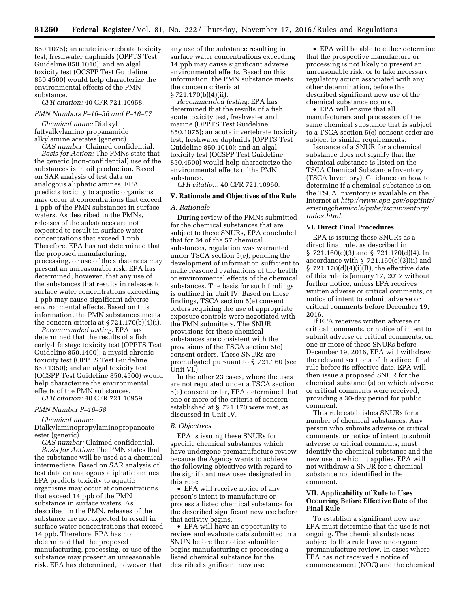850.1075); an acute invertebrate toxicity test, freshwater daphnids (OPPTS Test Guideline 850.1010); and an algal toxicity test (OCSPP Test Guideline 850.4500) would help characterize the environmental effects of the PMN substance.

*CFR citation:* 40 CFR 721.10958.

#### *PMN Numbers P–16–56 and P–16–57*

*Chemical name:* Dialkyl fattyalkylamino propanamide alkylamine acetates (generic).

*CAS number:* Claimed confidential.

*Basis for Action:* The PMNs state that the generic (non-confidential) use of the substances is in oil production. Based on SAR analysis of test data on analogous aliphatic amines, EPA predicts toxicity to aquatic organisms may occur at concentrations that exceed 1 ppb of the PMN substances in surface waters. As described in the PMNs, releases of the substances are not expected to result in surface water concentrations that exceed 1 ppb. Therefore, EPA has not determined that the proposed manufacturing, processing, or use of the substances may present an unreasonable risk. EPA has determined, however, that any use of the substances that results in releases to surface water concentrations exceeding 1 ppb may cause significant adverse environmental effects. Based on this information, the PMN substances meets the concern criteria at § 721.170(b)(4)(i).

*Recommended testing:* EPA has determined that the results of a fish early-life stage toxicity test (OPPTS Test Guideline 850.1400); a mysid chronic toxicity test (OPPTS Test Guideline 850.1350); and an algal toxicity test (OCSPP Test Guideline 850.4500) would help characterize the environmental effects of the PMN substances.

*CFR citation:* 40 CFR 721.10959.

# *PMN Number P–16–58*

*Chemical name:* 

Dialkylaminopropylaminopropanoate ester (generic).

*CAS number:* Claimed confidential. *Basis for Action:* The PMN states that the substance will be used as a chemical intermediate. Based on SAR analysis of test data on analogous aliphatic amines, EPA predicts toxicity to aquatic organisms may occur at concentrations that exceed 14 ppb of the PMN substance in surface waters. As described in the PMN, releases of the substance are not expected to result in surface water concentrations that exceed 14 ppb. Therefore, EPA has not determined that the proposed manufacturing, processing, or use of the substance may present an unreasonable risk. EPA has determined, however, that

any use of the substance resulting in surface water concentrations exceeding 14 ppb may cause significant adverse environmental effects. Based on this information, the PMN substance meets the concern criteria at § 721.170(b)(4)(ii).

*Recommended testing:* EPA has determined that the results of a fish acute toxicity test, freshwater and marine (OPPTS Test Guideline 850.1075); an acute invertebrate toxicity test, freshwater daphnids (OPPTS Test Guideline 850.1010); and an algal toxicity test (OCSPP Test Guideline 850.4500) would help characterize the environmental effects of the PMN substance.

*CFR citation:* 40 CFR 721.10960.

#### **V. Rationale and Objectives of the Rule**

## *A. Rationale*

During review of the PMNs submitted for the chemical substances that are subject to these SNURs, EPA concluded that for 34 of the 57 chemical substances, regulation was warranted under TSCA section 5(e), pending the development of information sufficient to make reasoned evaluations of the health or environmental effects of the chemical substances. The basis for such findings is outlined in Unit IV. Based on these findings, TSCA section 5(e) consent orders requiring the use of appropriate exposure controls were negotiated with the PMN submitters. The SNUR provisions for these chemical substances are consistent with the provisions of the TSCA section 5(e) consent orders. These SNURs are promulgated pursuant to § 721.160 (see Unit VI.).

In the other 23 cases, where the uses are not regulated under a TSCA section 5(e) consent order, EPA determined that one or more of the criteria of concern established at § 721.170 were met, as discussed in Unit IV.

#### *B. Objectives*

EPA is issuing these SNURs for specific chemical substances which have undergone premanufacture review because the Agency wants to achieve the following objectives with regard to the significant new uses designated in this rule:

• EPA will receive notice of any person's intent to manufacture or process a listed chemical substance for the described significant new use before that activity begins.

• EPA will have an opportunity to review and evaluate data submitted in a SNUN before the notice submitter begins manufacturing or processing a listed chemical substance for the described significant new use.

• EPA will be able to either determine that the prospective manufacture or processing is not likely to present an unreasonable risk, or to take necessary regulatory action associated with any other determination, before the described significant new use of the chemical substance occurs.

• EPA will ensure that all manufacturers and processors of the same chemical substance that is subject to a TSCA section 5(e) consent order are subject to similar requirements.

Issuance of a SNUR for a chemical substance does not signify that the chemical substance is listed on the TSCA Chemical Substance Inventory (TSCA Inventory). Guidance on how to determine if a chemical substance is on the TSCA Inventory is available on the Internet at *[http://www.epa.gov/opptintr/](http://www.epa.gov/opptintr/existingchemicals/pubs/tscainventory/index.html)  [existingchemicals/pubs/tscainventory/](http://www.epa.gov/opptintr/existingchemicals/pubs/tscainventory/index.html) [index.html.](http://www.epa.gov/opptintr/existingchemicals/pubs/tscainventory/index.html)* 

## **VI. Direct Final Procedures**

EPA is issuing these SNURs as a direct final rule, as described in § 721.160(c)(3) and § 721.170(d)(4). In accordance with  $\S$  721.160(c)(3)(ii) and  $$ 721.170(d)(4)(i)(B)$ , the effective date of this rule is January 17, 2017 without further notice, unless EPA receives written adverse or critical comments, or notice of intent to submit adverse or critical comments before December 19, 2016.

If EPA receives written adverse or critical comments, or notice of intent to submit adverse or critical comments, on one or more of these SNURs before December 19, 2016, EPA will withdraw the relevant sections of this direct final rule before its effective date. EPA will then issue a proposed SNUR for the chemical substance(s) on which adverse or critical comments were received, providing a 30-day period for public comment.

This rule establishes SNURs for a number of chemical substances. Any person who submits adverse or critical comments, or notice of intent to submit adverse or critical comments, must identify the chemical substance and the new use to which it applies. EPA will not withdraw a SNUR for a chemical substance not identified in the comment.

## **VII. Applicability of Rule to Uses Occurring Before Effective Date of the Final Rule**

To establish a significant new use, EPA must determine that the use is not ongoing. The chemical substances subject to this rule have undergone premanufacture review. In cases where EPA has not received a notice of commencement (NOC) and the chemical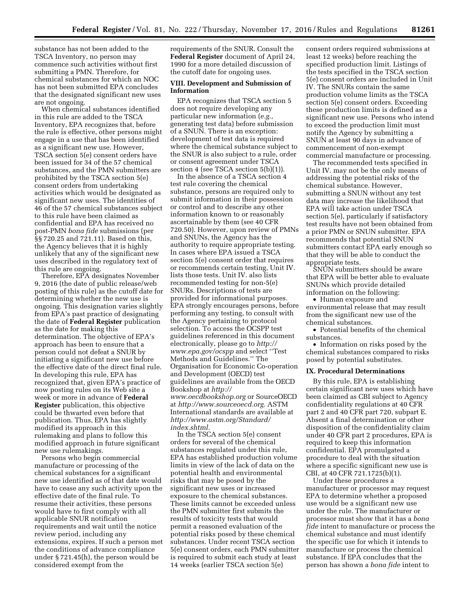substance has not been added to the TSCA Inventory, no person may commence such activities without first submitting a PMN. Therefore, for chemical substances for which an NOC has not been submitted EPA concludes that the designated significant new uses are not ongoing.

When chemical substances identified in this rule are added to the TSCA Inventory, EPA recognizes that, before the rule is effective, other persons might engage in a use that has been identified as a significant new use. However, TSCA section 5(e) consent orders have been issued for 34 of the 57 chemical substances, and the PMN submitters are prohibited by the TSCA section 5(e) consent orders from undertaking activities which would be designated as significant new uses. The identities of 46 of the 57 chemical substances subject to this rule have been claimed as confidential and EPA has received no post-PMN *bona fide* submissions (per §§ 720.25 and 721.11). Based on this, the Agency believes that it is highly unlikely that any of the significant new uses described in the regulatory text of this rule are ongoing.

Therefore, EPA designates November 9, 2016 (the date of public release/web posting of this rule) as the cutoff date for determining whether the new use is ongoing. This designation varies slightly from EPA's past practice of designating the date of **Federal Register** publication as the date for making this determination. The objective of EPA's approach has been to ensure that a person could not defeat a SNUR by initiating a significant new use before the effective date of the direct final rule. In developing this rule, EPA has recognized that, given EPA's practice of now posting rules on its Web site a week or more in advance of **Federal Register** publication, this objective could be thwarted even before that publication. Thus, EPA has slightly modified its approach in this rulemaking and plans to follow this modified approach in future significant new use rulemakings.

Persons who begin commercial manufacture or processing of the chemical substances for a significant new use identified as of that date would have to cease any such activity upon the effective date of the final rule. To resume their activities, these persons would have to first comply with all applicable SNUR notification requirements and wait until the notice review period, including any extensions, expires. If such a person met the conditions of advance compliance under § 721.45(h), the person would be considered exempt from the

requirements of the SNUR. Consult the **Federal Register** document of April 24, 1990 for a more detailed discussion of the cutoff date for ongoing uses.

## **VIII. Development and Submission of Information**

EPA recognizes that TSCA section 5 does not require developing any particular new information (*e.g.,*  generating test data) before submission of a SNUN. There is an exception: development of test data is required where the chemical substance subject to the SNUR is also subject to a rule, order or consent agreement under TSCA section 4 (see TSCA section 5(b)(1)).

In the absence of a TSCA section 4 test rule covering the chemical substance, persons are required only to submit information in their possession or control and to describe any other information known to or reasonably ascertainable by them (see 40 CFR 720.50). However, upon review of PMNs and SNUNs, the Agency has the authority to require appropriate testing. In cases where EPA issued a TSCA section 5(e) consent order that requires or recommends certain testing, Unit IV. lists those tests. Unit IV. also lists recommended testing for non-5(e) SNURs. Descriptions of tests are provided for informational purposes. EPA strongly encourages persons, before performing any testing, to consult with the Agency pertaining to protocol selection. To access the OCSPP test guidelines referenced in this document electronically, please go to *[http://](http://www.epa.gov/ocspp) [www.epa.gov/ocspp](http://www.epa.gov/ocspp)* and select ''Test Methods and Guidelines.'' The Organisation for Economic Co-operation and Development (OECD) test guidelines are available from the OECD Bookshop at *[http://](http://www.oecdbookshop.org) [www.oecdbookshop.org](http://www.oecdbookshop.org)* or SourceOECD at *[http://www.sourceoecd.org.](http://www.sourceoecd.org)* ASTM International standards are available at *[http://www.astm.org/Standard/](http://www.astm.org/Standard/index.shtml)  [index.shtml.](http://www.astm.org/Standard/index.shtml)* 

In the TSCA section 5(e) consent orders for several of the chemical substances regulated under this rule, EPA has established production volume limits in view of the lack of data on the potential health and environmental risks that may be posed by the significant new uses or increased exposure to the chemical substances. These limits cannot be exceeded unless the PMN submitter first submits the results of toxicity tests that would permit a reasoned evaluation of the potential risks posed by these chemical substances. Under recent TSCA section 5(e) consent orders, each PMN submitter is required to submit each study at least 14 weeks (earlier TSCA section 5(e)

consent orders required submissions at least 12 weeks) before reaching the specified production limit. Listings of the tests specified in the TSCA section 5(e) consent orders are included in Unit IV. The SNURs contain the same production volume limits as the TSCA section 5(e) consent orders. Exceeding these production limits is defined as a significant new use. Persons who intend to exceed the production limit must notify the Agency by submitting a SNUN at least 90 days in advance of commencement of non-exempt commercial manufacture or processing.

The recommended tests specified in Unit IV. may not be the only means of addressing the potential risks of the chemical substance. However, submitting a SNUN without any test data may increase the likelihood that EPA will take action under TSCA section 5(e), particularly if satisfactory test results have not been obtained from a prior PMN or SNUN submitter. EPA recommends that potential SNUN submitters contact EPA early enough so that they will be able to conduct the appropriate tests.

SNUN submitters should be aware that EPA will be better able to evaluate SNUNs which provide detailed information on the following:

• Human exposure and environmental release that may result from the significant new use of the chemical substances.

• Potential benefits of the chemical substances.

• Information on risks posed by the chemical substances compared to risks posed by potential substitutes.

# **IX. Procedural Determinations**

By this rule, EPA is establishing certain significant new uses which have been claimed as CBI subject to Agency confidentiality regulations at 40 CFR part 2 and 40 CFR part 720, subpart E. Absent a final determination or other disposition of the confidentiality claim under 40 CFR part 2 procedures, EPA is required to keep this information confidential. EPA promulgated a procedure to deal with the situation where a specific significant new use is CBI, at 40 CFR 721.1725(b)(1).

Under these procedures a manufacturer or processor may request EPA to determine whether a proposed use would be a significant new use under the rule. The manufacturer or processor must show that it has a *bona fide* intent to manufacture or process the chemical substance and must identify the specific use for which it intends to manufacture or process the chemical substance. If EPA concludes that the person has shown a *bona fide* intent to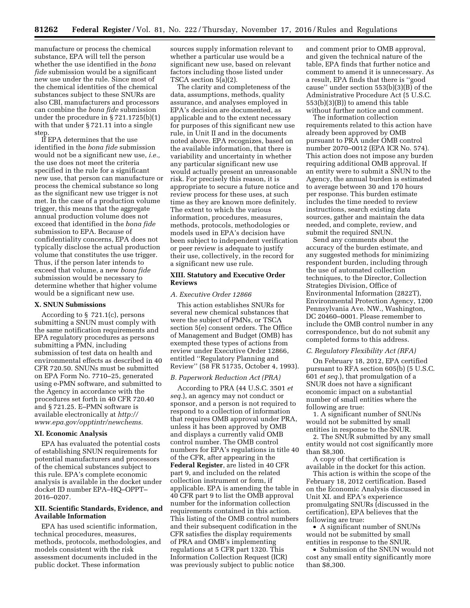manufacture or process the chemical substance, EPA will tell the person whether the use identified in the *bona fide* submission would be a significant new use under the rule. Since most of the chemical identities of the chemical substances subject to these SNURs are also CBI, manufacturers and processors can combine the *bona fide* submission under the procedure in § 721.1725(b)(1) with that under § 721.11 into a single ste

If EPA determines that the use identified in the *bona fide* submission would not be a significant new use, *i.e.,*  the use does not meet the criteria specified in the rule for a significant new use, that person can manufacture or process the chemical substance so long as the significant new use trigger is not met. In the case of a production volume trigger, this means that the aggregate annual production volume does not exceed that identified in the *bona fide*  submission to EPA. Because of confidentiality concerns, EPA does not typically disclose the actual production volume that constitutes the use trigger. Thus, if the person later intends to exceed that volume, a new *bona fide*  submission would be necessary to determine whether that higher volume would be a significant new use.

## **X. SNUN Submissions**

According to § 721.1(c), persons submitting a SNUN must comply with the same notification requirements and EPA regulatory procedures as persons submitting a PMN, including submission of test data on health and environmental effects as described in 40 CFR 720.50. SNUNs must be submitted on EPA Form No. 7710–25, generated using e-PMN software, and submitted to the Agency in accordance with the procedures set forth in 40 CFR 720.40 and § 721.25. E–PMN software is available electronically at *[http://](http://www.epa.gov/opptintr/newchems) [www.epa.gov/opptintr/newchems.](http://www.epa.gov/opptintr/newchems)* 

## **XI. Economic Analysis**

EPA has evaluated the potential costs of establishing SNUN requirements for potential manufacturers and processors of the chemical substances subject to this rule. EPA's complete economic analysis is available in the docket under docket ID number EPA–HQ–OPPT– 2016–0207.

#### **XII. Scientific Standards, Evidence, and Available Information**

EPA has used scientific information, technical procedures, measures, methods, protocols, methodologies, and models consistent with the risk assessment documents included in the public docket. These information

sources supply information relevant to whether a particular use would be a significant new use, based on relevant factors including those listed under TSCA section 5(a)(2).

The clarity and completeness of the data, assumptions, methods, quality assurance, and analyses employed in EPA's decision are documented, as applicable and to the extent necessary for purposes of this significant new use rule, in Unit II and in the documents noted above. EPA recognizes, based on the available information, that there is variability and uncertainty in whether any particular significant new use would actually present an unreasonable risk. For precisely this reason, it is appropriate to secure a future notice and review process for these uses, at such time as they are known more definitely. The extent to which the various information, procedures, measures, methods, protocols, methodologies or models used in EPA's decision have been subject to independent verification or peer review is adequate to justify their use, collectively, in the record for a significant new use rule.

#### **XIII. Statutory and Executive Order Reviews**

## *A. Executive Order 12866*

This action establishes SNURs for several new chemical substances that were the subject of PMNs, or TSCA section 5(e) consent orders. The Office of Management and Budget (OMB) has exempted these types of actions from review under Executive Order 12866, entitled ''Regulatory Planning and Review'' (58 FR 51735, October 4, 1993).

## *B. Paperwork Reduction Act (PRA)*

According to PRA (44 U.S.C. 3501 *et seq.*), an agency may not conduct or sponsor, and a person is not required to respond to a collection of information that requires OMB approval under PRA, unless it has been approved by OMB and displays a currently valid OMB control number. The OMB control numbers for EPA's regulations in title 40 of the CFR, after appearing in the **Federal Register**, are listed in 40 CFR part 9, and included on the related collection instrument or form, if applicable. EPA is amending the table in 40 CFR part 9 to list the OMB approval number for the information collection requirements contained in this action. This listing of the OMB control numbers and their subsequent codification in the CFR satisfies the display requirements of PRA and OMB's implementing regulations at 5 CFR part 1320. This Information Collection Request (ICR) was previously subject to public notice

and comment prior to OMB approval, and given the technical nature of the table, EPA finds that further notice and comment to amend it is unnecessary. As a result, EPA finds that there is ''good cause" under section  $553(b)(3)(B)$  of the Administrative Procedure Act (5 U.S.C. 553(b)(3)(B)) to amend this table without further notice and comment.

The information collection requirements related to this action have already been approved by OMB pursuant to PRA under OMB control number 2070–0012 (EPA ICR No. 574). This action does not impose any burden requiring additional OMB approval. If an entity were to submit a SNUN to the Agency, the annual burden is estimated to average between 30 and 170 hours per response. This burden estimate includes the time needed to review instructions, search existing data sources, gather and maintain the data needed, and complete, review, and submit the required SNUN.

Send any comments about the accuracy of the burden estimate, and any suggested methods for minimizing respondent burden, including through the use of automated collection techniques, to the Director, Collection Strategies Division, Office of Environmental Information (2822T), Environmental Protection Agency, 1200 Pennsylvania Ave. NW., Washington, DC 20460–0001. Please remember to include the OMB control number in any correspondence, but do not submit any completed forms to this address.

#### *C. Regulatory Flexibility Act (RFA)*

On February 18, 2012, EPA certified pursuant to RFA section 605(b) (5 U.S.C. 601 *et seq.*), that promulgation of a SNUR does not have a significant economic impact on a substantial number of small entities where the following are true:

1. A significant number of SNUNs would not be submitted by small entities in response to the SNUR.

2. The SNUR submitted by any small entity would not cost significantly more than \$8,300.

A copy of that certification is available in the docket for this action.

This action is within the scope of the February 18, 2012 certification. Based on the Economic Analysis discussed in Unit XI. and EPA's experience promulgating SNURs (discussed in the certification), EPA believes that the following are true:

• A significant number of SNUNs would not be submitted by small entities in response to the SNUR.

• Submission of the SNUN would not cost any small entity significantly more than \$8,300.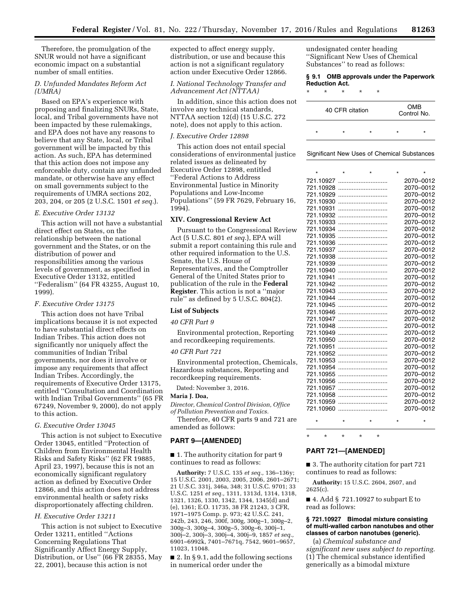Therefore, the promulgation of the SNUR would not have a significant economic impact on a substantial number of small entities.

# *D. Unfunded Mandates Reform Act (UMRA)*

Based on EPA's experience with proposing and finalizing SNURs, State, local, and Tribal governments have not been impacted by these rulemakings, and EPA does not have any reasons to believe that any State, local, or Tribal government will be impacted by this action. As such, EPA has determined that this action does not impose any enforceable duty, contain any unfunded mandate, or otherwise have any effect on small governments subject to the requirements of UMRA sections 202, 203, 204, or 205 (2 U.S.C. 1501 *et seq.*).

#### *E. Executive Order 13132*

This action will not have a substantial direct effect on States, on the relationship between the national government and the States, or on the distribution of power and responsibilities among the various levels of government, as specified in Executive Order 13132, entitled ''Federalism'' (64 FR 43255, August 10, 1999).

## *F. Executive Order 13175*

This action does not have Tribal implications because it is not expected to have substantial direct effects on Indian Tribes. This action does not significantly nor uniquely affect the communities of Indian Tribal governments, nor does it involve or impose any requirements that affect Indian Tribes. Accordingly, the requirements of Executive Order 13175, entitled ''Consultation and Coordination with Indian Tribal Governments'' (65 FR 67249, November 9, 2000), do not apply to this action.

## *G. Executive Order 13045*

This action is not subject to Executive Order 13045, entitled ''Protection of Children from Environmental Health Risks and Safety Risks'' (62 FR 19885, April 23, 1997), because this is not an economically significant regulatory action as defined by Executive Order 12866, and this action does not address environmental health or safety risks disproportionately affecting children.

#### *H. Executive Order 13211*

This action is not subject to Executive Order 13211, entitled ''Actions Concerning Regulations That Significantly Affect Energy Supply, Distribution, or Use'' (66 FR 28355, May 22, 2001), because this action is not

expected to affect energy supply, distribution, or use and because this action is not a significant regulatory action under Executive Order 12866.

# *I. National Technology Transfer and Advancement Act (NTTAA)*

In addition, since this action does not involve any technical standards, NTTAA section 12(d) (15 U.S.C. 272 note), does not apply to this action.

#### *J. Executive Order 12898*

This action does not entail special considerations of environmental justice related issues as delineated by Executive Order 12898, entitled ''Federal Actions to Address Environmental Justice in Minority Populations and Low-Income Populations'' (59 FR 7629, February 16, 1994).

#### **XIV. Congressional Review Act**

Pursuant to the Congressional Review Act (5 U.S.C. 801 *et seq.*), EPA will submit a report containing this rule and other required information to the U.S. Senate, the U.S. House of Representatives, and the Comptroller General of the United States prior to publication of the rule in the **Federal Register**. This action is not a ''major rule'' as defined by 5 U.S.C. 804(2).

## **List of Subjects**

*40 CFR Part 9* 

Environmental protection, Reporting and recordkeeping requirements.

#### *40 CFR Part 721*

Environmental protection, Chemicals, Hazardous substances, Reporting and recordkeeping requirements.

Dated: November 3, 2016.

#### **Maria J. Doa,**

*Director, Chemical Control Division, Office of Pollution Prevention and Toxics.* 

Therefore, 40 CFR parts 9 and 721 are amended as follows:

# **PART 9—[AMENDED]**

■ 1. The authority citation for part 9 continues to read as follows:

**Authority:** 7 U.S.C. 135 *et seq.,* 136–136y; 15 U.S.C. 2001, 2003, 2005, 2006, 2601–2671; 21 U.S.C. 331j, 346a, 348; 31 U.S.C. 9701; 33 U.S.C. 1251 *et seq.,* 1311, 1313d, 1314, 1318, 1321, 1326, 1330, 1342, 1344, 1345(d) and (e), 1361; E.O. 11735, 38 FR 21243, 3 CFR, 1971–1975 Comp. p. 973; 42 U.S.C. 241, 242b, 243, 246, 300f, 300g, 300g–1, 300g–2, 300g–3, 300g–4, 300g–5, 300g–6, 300j–1, 300j–2, 300j–3, 300j–4, 300j–9, 1857 *et seq.,*  6901–6992k, 7401–7671q, 7542, 9601–9657, 11023, 11048.

 $\blacksquare$  2. In § 9.1, add the following sections in numerical order under the

undesignated center heading ''Significant New Uses of Chemical Substances'' to read as follows:

#### **§ 9.1 OMB approvals under the Paperwork Reduction Act.**

\* \* \* \* \*

| 40 CFR citation |   |  | <b>OMB</b><br>Control No. |  |
|-----------------|---|--|---------------------------|--|
| $\star$         | ÷ |  |                           |  |

Significant New Uses of Chemical Substances

| $\star$                | $\star$ | $\star$ | $\star$ | ÷                      |
|------------------------|---------|---------|---------|------------------------|
| 721.10927              |         |         |         | 2070-0012              |
| 721.10928              |         |         |         | 2070-0012              |
| 721.10929              |         |         |         | 2070-0012              |
| 721.10930              |         |         |         | 2070-0012              |
| 721.10931              |         |         |         | 2070-0012              |
| 721.10932              |         |         |         | 2070-0012              |
| 721.10933              |         |         |         | 2070-0012              |
| 721.10934              |         |         |         | 2070-0012              |
| 721.10935              |         |         |         | 2070-0012              |
| 721.10936              |         |         |         | 2070-0012              |
| 721.10937              |         |         |         | 2070-0012              |
| 721.10938              |         |         |         | 2070-0012              |
| 721.10939              |         |         |         | 2070-0012              |
| 721.10940              |         |         |         | 2070-0012              |
| 721.10941              |         |         |         | 2070-0012              |
| 721.10942              |         |         |         | 2070-0012              |
| 721.10943              |         |         |         | 2070-0012              |
| 721.10944              |         |         |         | 2070-0012              |
| 721.10945<br>721.10946 |         |         |         | 2070-0012              |
| 721.10947              |         |         |         | 2070-0012<br>2070-0012 |
|                        |         |         |         | 2070-0012              |
| 721.10948<br>721.10949 |         |         |         | 2070-0012              |
| 721.10950              |         |         |         | 2070-0012              |
| 721.10951              |         |         |         | 2070-0012              |
| 721.10952              |         |         |         | 2070-0012              |
| 721.10953              |         |         |         | 2070-0012              |
| 721.10954              |         |         |         | 2070-0012              |
| 721.10955              |         |         |         | 2070-0012              |
| 721.10956              |         |         |         | 2070-0012              |
| 721.10957              |         |         |         | 2070-0012              |
| 721.10958              |         |         |         | 2070-0012              |
| 721.10959              |         |         |         | 2070-0012              |
| 721.10960              |         |         |         | 2070-0012              |
|                        |         |         |         |                        |

#### \* \* \* \* \*

# \* \* \* \* \*

## **PART 721—[AMENDED]**

■ 3. The authority citation for part 721 continues to read as follows:

**Authority:** 15 U.S.C. 2604, 2607, and 2625(c).

■ 4. Add § 721.10927 to subpart E to read as follows:

## **§ 721.10927 Bimodal mixture consisting of multi-walled carbon nanotubes and other classes of carbon nanotubes (generic).**

(a) *Chemical substance and significant new uses subject to reporting.*  (1) The chemical substance identified generically as a bimodal mixture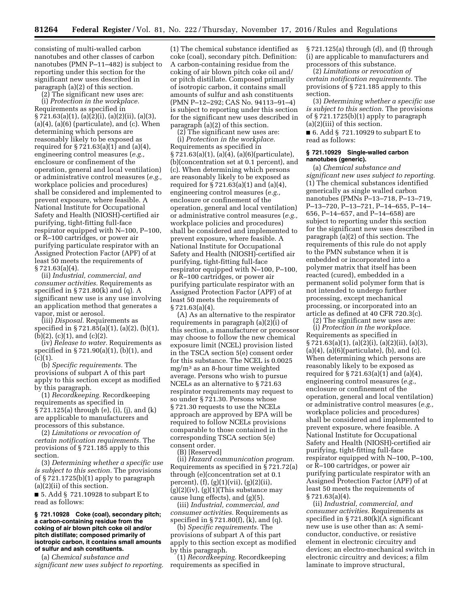consisting of multi-walled carbon nanotubes and other classes of carbon nanotubes (PMN P–11–482) is subject to reporting under this section for the significant new uses described in paragraph (a)(2) of this section.

(2) The significant new uses are:

(i) *Protection in the workplace.*  Requirements as specified in § 721.63(a)(1), (a)(2)(i), (a)(2)(ii), (a)(3),  $(a)(4)$ ,  $(a)(6)$  (particulate), and  $(c)$ . When determining which persons are reasonably likely to be exposed as required for § 721.63(a)(1) and (a)(4), engineering control measures (*e.g.,*  enclosure or confinement of the operation, general and local ventilation) or administrative control measures (*e.g.,*  workplace policies and procedures) shall be considered and implemented to prevent exposure, where feasible. A National Institute for Occupational Safety and Health (NIOSH)-certified air purifying, tight-fitting full-face respirator equipped with N–100, P–100, or R–100 cartridges, or power air purifying particulate respirator with an Assigned Protection Factor (APF) of at least 50 meets the requirements of  $§ 721.63(a)(4).$ 

(ii) *Industrial, commercial, and consumer activities.* Requirements as specified in § 721.80(k) and (q). A significant new use is any use involving an application method that generates a vapor, mist or aerosol.

(iii) *Disposal.* Requirements as specified in § 721.85(a)(1), (a)(2), (b)(1), (b)(2), (c)(1), and (c)(2).

(iv) *Release to water.* Requirements as specified in § 721.90(a)(1), (b)(1), and  $(c)(1)$ .

(b) *Specific requirements.* The provisions of subpart A of this part apply to this section except as modified by this paragraph.

(1) *Recordkeeping.* Recordkeeping requirements as specified in § 721.125(a) through (e), (i), (j), and (k) are applicable to manufacturers and processors of this substance.

(2) *Limitations or revocation of certain notification requirements.* The provisions of § 721.185 apply to this section.

(3) *Determining whether a specific use is subject to this section.* The provisions of § 721.1725(b)(1) apply to paragraph (a)(2)(ii) of this section.

■ 5. Add § 721.10928 to subpart E to read as follows:

#### **§ 721.10928 Coke (coal), secondary pitch; a carbon-containing residue from the coking of air blown pitch coke oil and/or pitch distillate; composed primarily of isotropic carbon, it contains small amounts of sulfur and ash constituents.**

(a) *Chemical substance and significant new uses subject to reporting.*  (1) The chemical substance identified as coke (coal), secondary pitch. Definition: A carbon-containing residue from the coking of air blown pitch coke oil and/ or pitch distillate. Composed primarily of isotropic carbon, it contains small amounts of sulfur and ash constituents (PMN P–12–292; CAS No. 94113–91–4) is subject to reporting under this section for the significant new uses described in paragraph (a)(2) of this section.

(2) The significant new uses are: (i) *Protection in the workplace.*  Requirements as specified in § 721.63(a)(1), (a)(4), (a)(6)(particulate), (b)(concentration set at 0.1 percent), and (c). When determining which persons are reasonably likely to be exposed as required for  $\S 721.63(a)(1)$  and  $(a)(4)$ , engineering control measures (*e.g.,*  enclosure or confinement of the operation, general and local ventilation) or administrative control measures (*e.g.,*  workplace policies and procedures) shall be considered and implemented to prevent exposure, where feasible. A National Institute for Occupational Safety and Health (NIOSH)-certified air purifying, tight-fitting full-face respirator equipped with N–100, P–100, or R–100 cartridges, or power air purifying particulate respirator with an Assigned Protection Factor (APF) of at least 50 meets the requirements of § 721.63(a)(4).

(A) As an alternative to the respirator requirements in paragraph  $(a)(2)(i)$  of this section, a manufacturer or processor may choose to follow the new chemical exposure limit (NCEL) provision listed in the TSCA section 5(e) consent order for this substance. The NCEL is 0.0025 mg/m3 as an 8-hour time weighted average. Persons who wish to pursue NCELs as an alternative to § 721.63 respirator requirements may request to so under § 721.30. Persons whose § 721.30 requests to use the NCELs approach are approved by EPA will be required to follow NCELs provisions comparable to those contained in the corresponding TSCA section 5(e) consent order.

(B) [Reserved]

(ii) *Hazard communication program.*  Requirements as specified in § 721.72(a) through (e)(concentration set at 0.1 percent), (f), (g)(1)(vii), (g)(2)(ii),  $(g)(2)(iv)$ ,  $(g)(1)(This substance may$ cause lung effects), and (g)(5).

(iii) *Industrial, commercial, and consumer activities.* Requirements as specified in § 721.80(f), (k), and (q).

(b) *Specific requirements.* The provisions of subpart A of this part apply to this section except as modified by this paragraph.

(1) *Recordkeeping.* Recordkeeping requirements as specified in

§ 721.125(a) through (d), and (f) through (i) are applicable to manufacturers and processors of this substance.

(2) *Limitations or revocation of certain notification requirements.* The provisions of § 721.185 apply to this section.

(3) *Determining whether a specific use is subject to this section.* The provisions of § 721.1725(b)(1) apply to paragraph (a)(2)(iii) of this section.

■ 6. Add § 721.10929 to subpart E to read as follows:

## **§ 721.10929 Single-walled carbon nanotubes (generic).**

(a) *Chemical substance and significant new uses subject to reporting.*  (1) The chemical substances identified generically as single walled carbon nanotubes (PMNs P–13–718, P–13–719, P–13–720, P–13–721, P–14–655, P–14– 656, P–14–657, and P–14–658) are subject to reporting under this section for the significant new uses described in paragraph (a)(2) of this section. The requirements of this rule do not apply to the PMN substance when it is embedded or incorporated into a polymer matrix that itself has been reacted (cured), embedded in a permanent solid polymer form that is not intended to undergo further processing, except mechanical processing, or incorporated into an article as defined at 40 CFR 720.3(c).

(2) The significant new uses are:

(i) *Protection in the workplace.*  Requirements as specified in § 721.63(a)(1), (a)(2)(i), (a)(2)(ii), (a)(3),  $(a)(4)$ ,  $(a)(6)$ (particulate),  $(b)$ , and  $(c)$ . When determining which persons are reasonably likely to be exposed as required for § 721.63(a)(1) and (a)(4), engineering control measures (*e.g.,*  enclosure or confinement of the operation, general and local ventilation) or administrative control measures (*e.g.,*  workplace policies and procedures) shall be considered and implemented to prevent exposure, where feasible. A National Institute for Occupational Safety and Health (NIOSH)-certified air purifying, tight-fitting full-face respirator equipped with N–100, P–100, or R–100 cartridges, or power air purifying particulate respirator with an Assigned Protection Factor (APF) of at least 50 meets the requirements of § 721.63(a)(4).

(ii) *Industrial, commercial, and consumer activities.* Requirements as specified in § 721.80(k)(A significant new use is use other than as: A semiconductor, conductive, or resistive element in electronic circuitry and devices; an electro-mechanical switch in electronic circuitry and devices; a film laminate to improve structural,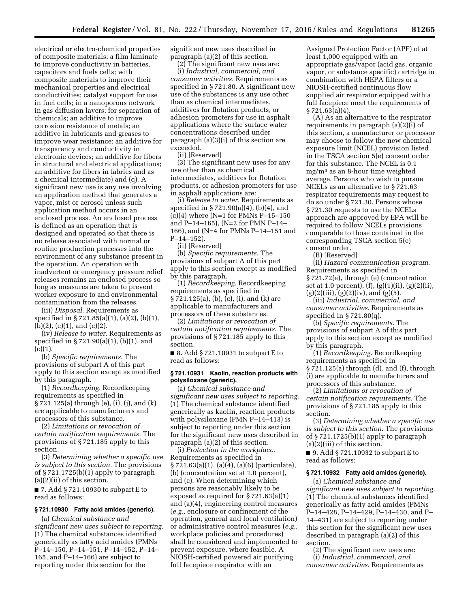electrical or electro-chemical properties of composite materials; a film laminate to improve conductivity in batteries, capacitors and fuels cells; with composite materials to improve their mechanical properties and electrical conductivities; catalyst support for use in fuel cells; in a nanoporous network in gas diffusion layers; for separation of chemicals; an additive to improve corrosion resistance of metals; an additive in lubricants and greases to improve wear resistance; an additive for transparency and conductivity in electronic devices; an additive for fibers in structural and electrical applications; an additive for fibers in fabrics and as a chemical intermediate) and (q). A significant new use is any use involving an application method that generates a vapor, mist or aerosol unless such application method occurs in an enclosed process. An enclosed process is defined as an operation that is designed and operated so that there is no release associated with normal or routine production processes into the environment of any substance present in the operation. An operation with inadvertent or emergency pressure relief releases remains an enclosed process so long as measures are taken to prevent worker exposure to and environmental contamination from the releases.

(iii) *Disposal.* Requirements as specified in § 721.85(a)(1), (a)(2), (b)(1), (b)(2), (c)(1), and (c)(2).

(iv) *Release to water.* Requirements as specified in § 721.90(a)(1), (b)(1), and  $(c)(1).$ 

(b) *Specific requirements.* The provisions of subpart A of this part apply to this section except as modified by this paragraph.

(1) *Recordkeeping.* Recordkeeping requirements as specified in § 721.125(a) through (e), (i), (j), and (k) are applicable to manufacturers and processors of this substance.

(2) *Limitations or revocation of certain notification requirements.* The provisions of § 721.185 apply to this section.

(3) *Determining whether a specific use is subject to this section.* The provisions of § 721.1725(b)(1) apply to paragraph (a)(2)(ii) of this section.

■ 7. Add § 721.10930 to subpart E to read as follows:

#### **§ 721.10930 Fatty acid amides (generic).**

(a) *Chemical substance and significant new uses subject to reporting.*  (1) The chemical substances identified generically as fatty acid amides (PMNs P–14–150, P–14–151, P–14–152, P–14– 165, and P–14–166) are subject to reporting under this section for the

significant new uses described in paragraph (a)(2) of this section.

(2) The significant new uses are: (i) *Industrial, commercial, and consumer activities.* Requirements as specified in § 721.80. A significant new use of the substances is any use other than as chemical intermediates, additives for flotation products, or adhesion promoters for use in asphalt applications where the surface water concentrations described under paragraph (a)(3)(i) of this section are exceeded.

(ii) [Reserved]

(3) The significant new uses for any use other than as chemical intermediates, additives for flotation products, or adhesion promoters for use in asphalt applications are:

(i) *Release to water.* Requirements as specified in § 721.90(a)(4), (b)(4), and (c)(4) where (N=1 for PMNs P–15–150 and P–14–165), (N=2 for PMN P–14– 166), and (N=4 for PMNs P–14–151 and P–14–152).

(ii) [Reserved]

(b) *Specific requirements.* The provisions of subpart A of this part apply to this section except as modified by this paragraph.

(1) *Recordkeeping.* Recordkeeping requirements as specified in § 721.125(a), (b), (c), (i), and (k) are applicable to manufacturers and processors of these substances.

(2) *Limitations or revocation of certain notification requirements.* The provisions of § 721.185 apply to this section.

■ 8. Add § 721.10931 to subpart E to read as follows:

## **§ 721.10931 Kaolin, reaction products with polysiloxane (generic).**

(a) *Chemical substance and significant new uses subject to reporting.*  (1) The chemical substance identified generically as kaolin, reaction products with polysiloxane (PMN P–14–413) is subject to reporting under this section for the significant new uses described in paragraph (a)(2) of this section.

(i) *Protection in the workplace.*  Requirements as specified in § 721.63(a)(1), (a)(4), (a)(6) (particulate), (b) (concentration set at 1.0 percent), and (c). When determining which persons are reasonably likely to be exposed as required for § 721.63(a)(1) and (a)(4), engineering control measures (*e.g.,* enclosure or confinement of the operation, general and local ventilation) or administrative control measures (*e.g.,*  workplace policies and procedures) shall be considered and implemented to prevent exposure, where feasible. A NIOSH-certified powered air purifying full facepiece respirator with an

Assigned Protection Factor (APF) of at least 1,000 equipped with an appropriate gas/vapor (acid gas, organic vapor, or substance specific) cartridge in combination with HEPA filters or a NIOSH-certified continuous flow supplied air respirator equipped with a full facepiece meet the requirements of § 721.63(a)(4).

(A) As an alternative to the respirator requirements in paragraph  $(a)(2)(i)$  of this section, a manufacturer or processor may choose to follow the new chemical exposure limit (NCEL) provision listed in the TSCA section 5(e) consent order for this substance. The NCEL is 0.1 mg/m3 as an 8-hour time weighted average. Persons who wish to pursue NCELs as an alternative to § 721.63 respirator requirements may request to do so under § 721.30. Persons whose § 721.30 requests to use the NCELs approach are approved by EPA will be required to follow NCELs provisions comparable to those contained in the corresponding TSCA section 5(e) consent order.

(B) [Reserved]

(ii) *Hazard communication program.*  Requirements as specified in § 721.72(a), through (e) (concentration set at 1.0 percent), (f), (g)(1)(ii), (g)(2)(ii),  $(g)(2)(iii)$ ,  $(g)(2)(iv)$ , and  $(g)(5)$ .

(iii) *Industrial, commercial, and consumer activities.* Requirements as specified in  $\S 721.80(q)$ .

(b) *Specific requirements.* The provisions of subpart A of this part apply to this section except as modified by this paragraph.

(1) *Recordkeeping.* Recordkeeping requirements as specified in  $\S 721.125(a)$  through (d), and (f), through (i) are applicable to manufacturers and processors of this substance.

(2) *Limitations or revocation of certain notification requirements.* The provisions of § 721.185 apply to this section.

(3) *Determining whether a specific use is subject to this section.* The provisions of § 721.1725(b)(1) apply to paragraph (a)(2)(iii) of this section.

■ 9. Add § 721.10932 to subpart E to read as follows:

# **§ 721.10932 Fatty acid amides (generic).**

(a) *Chemical substance and significant new uses subject to reporting.*  (1) The chemical substances identified generically as fatty acid amides (PMNs P–14–428, P–14–429, P–14–430, and P– 14–431) are subject to reporting under this section for the significant new uses described in paragraph (a)(2) of this section.

(2) The significant new uses are: (i) *Industrial, commercial, and consumer activities.* Requirements as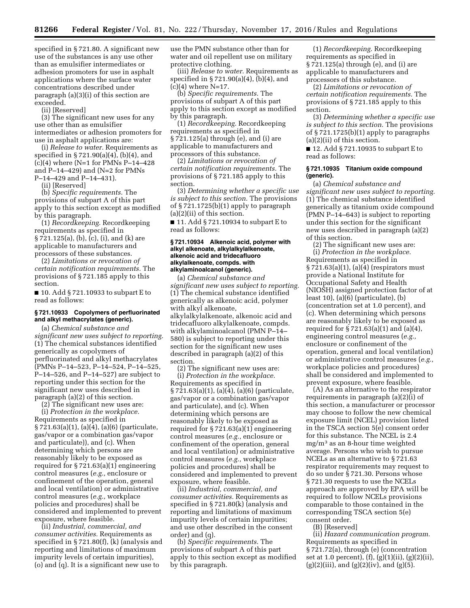specified in § 721.80. A significant new use of the substances is any use other than as emulsifier intermediates or adhesion promoters for use in asphalt applications where the surface water concentrations described under paragraph (a)(3)(i) of this section are exceeded.

(ii) [Reserved]

(3) The significant new uses for any use other than as emulsifier intermediates or adhesion promoters for use in asphalt applications are:

(i) *Release to water.* Requirements as specified in § 721.90(a)(4), (b)(4), and  $(c)(4)$  where (N=1 for PMNs P-14-428) and P–14–429) and (N=2 for PMNs

P–14–429 and P–14–431).

(ii) [Reserved]

(b) *Specific requirements.* The provisions of subpart A of this part apply to this section except as modified by this paragraph.

(1) *Recordkeeping.* Recordkeeping requirements as specified in § 721.125(a), (b), (c), (i), and (k) are applicable to manufacturers and processors of these substances.

(2) *Limitations or revocation of certain notification requirements.* The provisions of § 721.185 apply to this section.

■ 10. Add § 721.10933 to subpart E to read as follows:

## **§ 721.10933 Copolymers of perfluorinated and alkyl methacrylates (generic).**

(a) *Chemical substance and significant new uses subject to reporting.*  (1) The chemical substances identified generically as copolymers of perfluorinated and alkyl methacrylates (PMNs P–14–523, P–14–524, P–14–525, P–14–526, and P–14–527) are subject to reporting under this section for the significant new uses described in paragraph (a)(2) of this section.

(2) The significant new uses are: (i) *Protection in the workplace.*  Requirements as specified in § 721.63(a)(1), (a)(4), (a)(6) (particulate, gas/vapor or a combination gas/vapor and particulate)), and (c). When determining which persons are reasonably likely to be exposed as required for § 721.63(a)(1) engineering control measures (*e.g.,* enclosure or confinement of the operation, general and local ventilation) or administrative control measures (*e.g.,* workplace policies and procedures) shall be considered and implemented to prevent exposure, where feasible.

(ii) *Industrial, commercial, and consumer activities.* Requirements as specified in § 721.80(f), (k) (analysis and reporting and limitations of maximum impurity levels of certain impurities), (o) and (q). It is a significant new use to

use the PMN substance other than for water and oil repellent use on military protective clothing.

(iii) *Release to water.* Requirements as specified in § 721.90(a)(4), (b)(4), and  $(c)(4)$  where N=17.

(b) *Specific requirements.* The provisions of subpart A of this part apply to this section except as modified by this paragraph.

(1) *Recordkeeping.* Recordkeeping requirements as specified in § 721.125(a) through (e), and (i) are applicable to manufacturers and processors of this substance.

(2) *Limitations or revocation of certain notification requirements.* The provisions of § 721.185 apply to this section.

(3) *Determining whether a specific use is subject to this section.* The provisions of § 721.1725(b)(1) apply to paragraph (a)(2)(ii) of this section.

■ 11. Add § 721.10934 to subpart E to read as follows:

#### **§ 721.10934 Alkenoic acid, polymer with alkyl alkenoate, alkylalkylalkenoate, alkenoic acid and tridecafluoro alkylalkenoate, compds. with alkylaminoalcanol (generic).**

(a) *Chemical substance and significant new uses subject to reporting.*  (1) The chemical substance identified generically as alkenoic acid, polymer with alkyl alkenoate, alkylalkylalkenoate, alkenoic acid and tridecafluoro alkylalkenoate, compds. with alkylaminoalcanol (PMN P–14– 580) is subject to reporting under this section for the significant new uses described in paragraph (a)(2) of this section.

(2) The significant new uses are: (i) *Protection in the workplace.*  Requirements as specified in § 721.63(a)(1), (a)(4), (a)(6) (particulate, gas/vapor or a combination gas/vapor and particulate), and (c). When determining which persons are reasonably likely to be exposed as required for § 721.63(a)(1) engineering control measures (*e.g.,* enclosure or confinement of the operation, general and local ventilation) or administrative control measures (*e.g.,* workplace policies and procedures) shall be considered and implemented to prevent exposure, where feasible.

(ii) *Industrial, commercial, and consumer activities.* Requirements as specified in § 721.80(k) (analysis and reporting and limitations of maximum impurity levels of certain impurities; and use other described in the consent order) and (q).

(b) *Specific requirements.* The provisions of subpart A of this part apply to this section except as modified by this paragraph.

(1) *Recordkeeping.* Recordkeeping requirements as specified in § 721.125(a) through (e), and (i) are applicable to manufacturers and processors of this substance.

(2) *Limitations or revocation of certain notification requirements.* The provisions of § 721.185 apply to this section.

(3) *Determining whether a specific use is subject to this section.* The provisions of § 721.1725(b)(1) apply to paragraphs  $(a)(2)(ii)$  of this section.

■ 12. Add § 721.10935 to subpart E to read as follows:

## **§ 721.10935 Titanium oxide compound (generic).**

(a) *Chemical substance and significant new uses subject to reporting.*  (1) The chemical substance identified generically as titanium oxide compound (PMN P–14–643) is subject to reporting under this section for the significant new uses described in paragraph (a)(2) of this section.

(2) The significant new uses are: (i) *Protection in the workplace.*  Requirements as specified in § 721.63(a)(1), (a)(4) (respirators must provide a National Institute for Occupational Safety and Health (NIOSH) assigned protection factor of at least 10), (a)(6) (particulate), (b) (concentration set at 1.0 percent), and (c). When determining which persons are reasonably likely to be exposed as required for § 721.63(a)(1) and (a)(4), engineering control measures (*e.g.,*  enclosure or confinement of the operation, general and local ventilation) or administrative control measures (*e.g.,*  workplace policies and procedures) shall be considered and implemented to prevent exposure, where feasible.

(A) As an alternative to the respirator requirements in paragraph (a)(2)(i) of this section, a manufacturer or processor may choose to follow the new chemical exposure limit (NCEL) provision listed in the TSCA section 5(e) consent order for this substance. The NCEL is 2.4 mg/m3 as an 8-hour time weighted average. Persons who wish to pursue NCELs as an alternative to § 721.63 respirator requirements may request to do so under § 721.30. Persons whose § 721.30 requests to use the NCELs approach are approved by EPA will be required to follow NCELs provisions comparable to those contained in the corresponding TSCA section 5(e) consent order.

(B) [Reserved]

(ii) *Hazard communication program.*  Requirements as specified in § 721.72(a), through (e) (concentration set at 1.0 percent), (f), (g)(1)(ii), (g)(2)(ii),  $(g)(2)(iii)$ , and  $(g)(2)(iv)$ , and  $(g)(5)$ .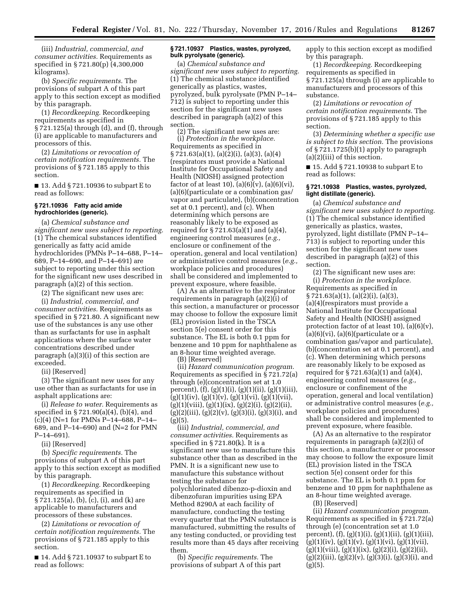(iii) *Industrial, commercial, and consumer activities.* Requirements as specified in § 721.80(p) (4,300,000 kilograms).

(b) *Specific requirements.* The provisions of subpart A of this part apply to this section except as modified by this paragraph.

(1) *Recordkeeping.* Recordkeeping requirements as specified in § 721.125(a) through (d), and (f), through (i) are applicable to manufacturers and processors of this.

(2) *Limitations or revocation of certain notification requirements.* The provisions of § 721.185 apply to this section.

■ 13. Add § 721.10936 to subpart E to read as follows:

#### **§ 721.10936 Fatty acid amide hydrochlorides (generic).**

(a) *Chemical substance and significant new uses subject to reporting.*  (1) The chemical substances identified generically as fatty acid amide hydrochlorides (PMNs P–14–688, P–14– 689, P–14–690, and P–14–691) are subject to reporting under this section for the significant new uses described in paragraph (a)(2) of this section.

(2) The significant new uses are:

(i) *Industrial, commercial, and consumer activities.* Requirements as specified in § 721.80. A significant new use of the substances is any use other than as surfactants for use in asphalt applications where the surface water concentrations described under paragraph (a)(3)(i) of this section are exceeded.

(ii) [Reserved]

(3) The significant new uses for any use other than as surfactants for use in asphalt applications are:

(i) *Release to water.* Requirements as specified in § 721.90(a)(4), (b)(4), and (c)(4) (N=1 for PMNs P–14–688, P–14– 689, and P–14–690) and (N=2 for PMN P–14–691).

(ii) [Reserved]

(b) *Specific requirements.* The provisions of subpart A of this part apply to this section except as modified by this paragraph.

(1) *Recordkeeping.* Recordkeeping requirements as specified in § 721.125(a), (b), (c), (i), and (k) are applicable to manufacturers and processors of these substances.

(2) *Limitations or revocation of certain notification requirements.* The provisions of § 721.185 apply to this section.

■ 14. Add § 721.10937 to subpart E to read as follows:

#### **§ 721.10937 Plastics, wastes, pyrolyzed, bulk pyrolysate (generic).**

(a) *Chemical substance and significant new uses subject to reporting.*  (1) The chemical substance identified generically as plastics, wastes, pyrolyzed, bulk pyrolysate (PMN P–14– 712) is subject to reporting under this section for the significant new uses described in paragraph (a)(2) of this section.

(2) The significant new uses are: (i) *Protection in the workplace.*  Requirements as specified in § 721.63(a)(1), (a)(2)(i), (a)(3), (a)(4) (respirators must provide a National Institute for Occupational Safety and Health (NIOSH) assigned protection factor of at least 10),  $(a)(6)(v)$ ,  $(a)(6)(vi)$ , (a)(6)(particulate or a combination gas/ vapor and particulate), (b)(concentration set at 0.1 percent), and (c). When determining which persons are reasonably likely to be exposed as required for § 721.63(a)(1) and (a)(4), engineering control measures (*e.g.,*  enclosure or confinement of the operation, general and local ventilation) or administrative control measures (*e.g.,*  workplace policies and procedures) shall be considered and implemented to prevent exposure, where feasible.

(A) As an alternative to the respirator requirements in paragraph (a)(2)(i) of this section, a manufacturer or processor may choose to follow the exposure limit (EL) provision listed in the TSCA section 5(e) consent order for this substance. The EL is both 0.1 ppm for benzene and 10 ppm for naphthalene as an 8-hour time weighted average.

(B) [Reserved]

(ii) *Hazard communication program.*  Requirements as specified in § 721.72(a) through (e)(concentration set at 1.0 percent),  $(f)$ ,  $(g)(1)(i)$ ,  $(g)(1)(ii)$ ,  $(g)(1)(iii)$ ,  $(g)(1)(iv)$ ,  $(g)(1)(v)$ ,  $(g)(1)(vi)$ ,  $(g)(1)(vii)$ ,  $(g)(1)(viii), (g)(1)(ix), (g)(2)(i), (g)(2)(ii),$  $(g)(2)(iii)$ ,  $(g)(2)(v)$ ,  $(g)(3)(i)$ ,  $(g)(3)(i)$ , and  $(g)(5)$ 

(iii) *Industrial, commercial, and consumer activities.* Requirements as specified in § 721.80(k). It is a significant new use to manufacture this substance other than as described in the PMN. It is a significant new use to manufacture this substance without testing the substance for polychlorinated dibenzo-p-dioxin and dibenzofuran impurities using EPA Method 8290A at each facility of manufacture, conducting the testing every quarter that the PMN substance is manufactured, submitting the results of any testing conducted, or providing test results more than 45 days after receiving them.

(b) *Specific requirements.* The provisions of subpart A of this part apply to this section except as modified by this paragraph.

(1) *Recordkeeping.* Recordkeeping requirements as specified in § 721.125(a) through (i) are applicable to manufacturers and processors of this substance.

(2) *Limitations or revocation of certain notification requirements.* The provisions of § 721.185 apply to this section.

(3) *Determining whether a specific use is subject to this section.* The provisions of § 721.1725(b)(1) apply to paragraph (a)(2)(iii) of this section.

■ 15. Add § 721.10938 to subpart E to read as follows:

## **§ 721.10938 Plastics, wastes, pyrolyzed, light distillate (generic).**

(a) *Chemical substance and significant new uses subject to reporting.*  (1) The chemical substance identified generically as plastics, wastes, pyrolyzed, light distillate (PMN P–14– 713) is subject to reporting under this section for the significant new uses described in paragraph (a)(2) of this section.

(2) The significant new uses are: (i) *Protection in the workplace.*  Requirements as specified in § 721.63(a)(1), (a)(2)(i), (a)(3), (a)(4)(respirators must provide a National Institute for Occupational Safety and Health (NIOSH) assigned protection factor of at least 10), (a)(6)(v),  $(a)(6)(vi)$ ,  $(a)(6)(particulate or a)$ combination gas/vapor and particulate), (b)(concentration set at 0.1 percent), and (c). When determining which persons are reasonably likely to be exposed as required for  $\S 721.63(a)(1)$  and  $(a)(4)$ , engineering control measures (*e.g.,*  enclosure or confinement of the operation, general and local ventilation) or administrative control measures (*e.g.,*  workplace policies and procedures) shall be considered and implemented to prevent exposure, where feasible.

(A) As an alternative to the respirator requirements in paragraph (a)(2)(i) of this section, a manufacturer or processor may choose to follow the exposure limit (EL) provision listed in the TSCA section 5(e) consent order for this substance. The EL is both 0.1 ppm for benzene and 10 ppm for naphthalene as an 8-hour time weighted average.

(B) [Reserved]

(ii) *Hazard communication program.*  Requirements as specified in § 721.72(a) through (e) (concentration set at 1.0 percent),  $(f)$ ,  $(g)(1)(i)$ ,  $(g)(1)(ii)$ ,  $(g)(1)(iii)$ ,  $(g)(1)(iv)$ ,  $(g)(1)(v)$ ,  $(g)(1)(vi)$ ,  $(g)(1)(vii)$ ,  $(g)(1)(viii), (g)(1)(ix), (g)(2)(i), (g)(2)(ii),$  $(g)(2)(iii)$ ,  $(g)(2)(v)$ ,  $(g)(3)(i)$ ,  $(g)(3)(i)$ , and  $(g)(5)$ .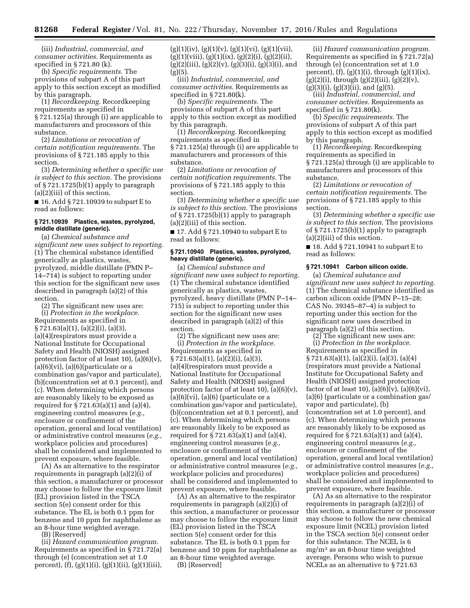(iii) *Industrial, commercial, and consumer activities.* Requirements as specified in § 721.80 (k).

(b) *Specific requirements.* The provisions of subpart A of this part apply to this section except as modified by this paragraph.

(1) *Recordkeeping.* Recordkeeping requirements as specified in § 721.125(a) through (i) are applicable to manufacturers and processors of this substance.

(2) *Limitations or revocation of certain notification requirements.* The provisions of § 721.185 apply to this section.

(3) *Determining whether a specific use is subject to this section.* The provisions of § 721.1725(b)(1) apply to paragraph (a)(2)(iii) of this section.

■ 16. Add § 721.10939 to subpart E to read as follows:

## **§ 721.10939 Plastics, wastes, pyrolyzed, middle distillate (generic).**

(a) *Chemical substance and significant new uses subject to reporting.*  (1) The chemical substance identified generically as plastics, wastes, pyrolyzed, middle distillate (PMN P– 14–714) is subject to reporting under this section for the significant new uses described in paragraph (a)(2) of this section.

(2) The significant new uses are:

(i) *Protection in the workplace.*  Requirements as specified in § 721.63(a)(1), (a)(2)(i), (a)(3), (a)(4)(respirators must provide a National Institute for Occupational Safety and Health (NIOSH) assigned protection factor of at least 10),  $(a)(6)(v)$ ,  $(a)(6)(vi), (a)(6)(particulate or a)$ combination gas/vapor and particulate), (b)(concentration set at 0.1 percent), and (c). When determining which persons are reasonably likely to be exposed as required for § 721.63(a)(1) and (a)(4), engineering control measures (*e.g.,*  enclosure or confinement of the operation, general and local ventilation) or administrative control measures (*e.g.,*  workplace policies and procedures) shall be considered and implemented to prevent exposure, where feasible.

(A) As an alternative to the respirator requirements in paragraph (a)(2)(i) of this section, a manufacturer or processor may choose to follow the exposure limit (EL) provision listed in the TSCA section 5(e) consent order for this substance. The EL is both 0.1 ppm for benzene and 10 ppm for naphthalene as an 8-hour time weighted average.

(B) [Reserved]

(ii) *Hazard communication program.*  Requirements as specified in § 721.72(a) through (e) (concentration set at 1.0 percent),  $(f)$ ,  $(g)(1)(i)$ ,  $(g)(1)(ii)$ ,  $(g)(1)(iii)$ ,  $(g)(1)(iv), (g)(1)(v), (g)(1)(vi), (g)(1)(vii),$  $(g)(1)(viii), (g)(1)(ix), (g)(2)(i), (g)(2)(ii),$  $(g)(2)(iii)$ ,  $(g)(2)(v)$ ,  $(g)(3)(i)$ ,  $(g)(3)(i)$ , and  $(g)(5)$ .

(iii) *Industrial, commercial, and consumer activities.* Requirements as specified in § 721.80(k).

(b) *Specific requirements.* The provisions of subpart A of this part apply to this section except as modified by this paragraph.

(1) *Recordkeeping.* Recordkeeping requirements as specified in § 721.125(a) through (i) are applicable to manufacturers and processors of this substance.

(2) *Limitations or revocation of certain notification requirements.* The provisions of § 721.185 apply to this section.

(3) *Determining whether a specific use is subject to this section.* The provisions of § 721.1725(b)(1) apply to paragraph  $(a)(2)(iii)$  of this section.

■ 17. Add § 721.10940 to subpart E to read as follows:

## **§ 721.10940 Plastics, wastes, pyrolyzed, heavy distillate (generic).**

(a) *Chemical substance and significant new uses subject to reporting.*  (1) The chemical substance identified generically as plastics, wastes, pyrolyzed, heavy distillate (PMN P–14– 715) is subject to reporting under this section for the significant new uses described in paragraph (a)(2) of this section.

(2) The significant new uses are: (i) *Protection in the workplace.*  Requirements as specified in § 721.63(a)(1), (a)(2)(i), (a)(3), (a)(4)(respirators must provide a National Institute for Occupational Safety and Health (NIOSH) assigned protection factor of at least 10),  $(a)(6)(v)$ ,  $(a)(6)(vi)$ ,  $(a)(6)(particulate or a)$ combination gas/vapor and particulate), (b)(concentration set at 0.1 percent), and (c). When determining which persons are reasonably likely to be exposed as required for  $\S 721.63(a)(1)$  and  $(a)(4)$ , engineering control measures (*e.g.,*  enclosure or confinement of the operation, general and local ventilation) or administrative control measures (*e.g.,*  workplace policies and procedures) shall be considered and implemented to prevent exposure, where feasible.

(A) As an alternative to the respirator requirements in paragraph (a)(2)(i) of this section, a manufacturer or processor may choose to follow the exposure limit (EL) provision listed in the TSCA section 5(e) consent order for this substance. The EL is both 0.1 ppm for benzene and 10 ppm for naphthalene as an 8-hour time weighted average.

(B) [Reserved]

(ii) *Hazard communication program.*  Requirements as specified in § 721.72(a) through (e) (concentration set at 1.0 percent),  $(f)$ ,  $(g)(1)(i)$ , through  $(g)(1)(ix)$ ,  $(g)(2)(i)$ , through  $(g)(2)(iii)$ ,  $(g)(2)(v)$ ,  $(g)(3)(i)$ ,  $(g)(3)(ii)$ , and  $(g)(5)$ .

(iii) *Industrial, commercial, and consumer activities.* Requirements as specified in § 721.80(k).

(b) *Specific requirements.* The provisions of subpart A of this part apply to this section except as modified by this paragraph.

(1) *Recordkeeping.* Recordkeeping requirements as specified in § 721.125(a) through (i) are applicable to manufacturers and processors of this substance.

(2) *Limitations or revocation of certain notification requirements.* The provisions of § 721.185 apply to this section.

(3) *Determining whether a specific use is subject to this section.* The provisions of § 721.1725(b)(1) apply to paragraph (a)(2)(iii) of this section.

■ 18. Add § 721.10941 to subpart E to read as follows:

## **§ 721.10941 Carbon silicon oxide.**

(a) *Chemical substance and significant new uses subject to reporting.*  (1) The chemical substance identified as carbon silicon oxide (PMN P–15–28; CAS No. 39345–87–4) is subject to reporting under this section for the significant new uses described in paragraph (a)(2) of this section.

(2) The significant new uses are: (i) *Protection in the workplace.*  Requirements as specified in § 721.63(a)(1), (a)(2)(i), (a)(3), (a)(4) (respirators must provide a National Institute for Occupational Safety and Health (NIOSH) assigned protection factor of at least 10),  $(a)(6)(v)$ ,  $(a)(6)(vi)$ , (a)(6) (particulate or a combination gas/ vapor and particulate), (b) (concentration set at 1.0 percent), and (c). When determining which persons are reasonably likely to be exposed as required for  $\S 721.63(a)(1)$  and  $(a)(4)$ , engineering control measures (*e.g.,*  enclosure or confinement of the operation, general and local ventilation) or administrative control measures (*e.g.,*  workplace policies and procedures) shall be considered and implemented to prevent exposure, where feasible.

(A) As an alternative to the respirator requirements in paragraph (a)(2)(i) of this section, a manufacturer or processor may choose to follow the new chemical exposure limit (NCEL) provision listed in the TSCA section 5(e) consent order for this substance. The NCEL is 6 mg/m3 as an 8-hour time weighted average. Persons who wish to pursue NCELs as an alternative to § 721.63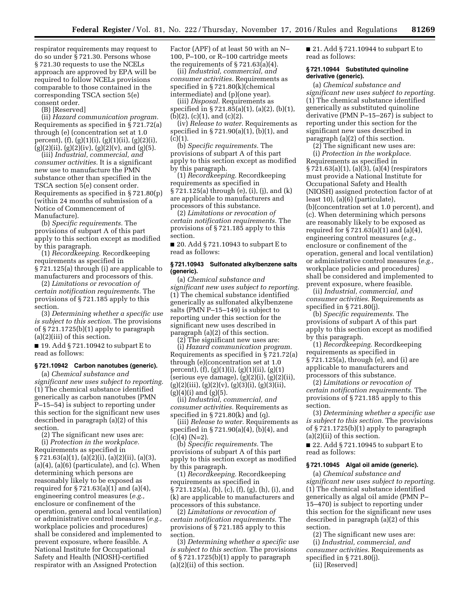respirator requirements may request to do so under § 721.30. Persons whose § 721.30 requests to use the NCELs approach are approved by EPA will be required to follow NCELs provisions comparable to those contained in the corresponding TSCA section 5(e) consent order.

(B) [Reserved]

(ii) *Hazard communication program.*  Requirements as specified in § 721.72(a) through (e) (concentration set at 1.0 percent),  $(f)$ ,  $(g)(1)(i)$ ,  $(g)(1)(ii)$ ,  $(g)(2)(i)$ ,  $(g)(2)(ii)$ ,  $(g)(2)(iv)$ ,  $(g)(2)(v)$ , and  $(g)(5)$ .

(iii) *Industrial, commercial, and consumer activities.* It is a significant new use to manufacture the PMN substance other than specified in the TSCA section 5(e) consent order. Requirements as specified in § 721.80(p) (within 24 months of submission of a Notice of Commencement of Manufacture).

(b) *Specific requirements.* The provisions of subpart A of this part apply to this section except as modified by this paragraph.

(1) *Recordkeeping.* Recordkeeping requirements as specified in § 721.125(a) through (i) are applicable to manufacturers and processors of this.

(2) *Limitations or revocation of certain notification requirements.* The provisions of § 721.185 apply to this section.

(3) *Determining whether a specific use is subject to this section.* The provisions of § 721.1725(b)(1) apply to paragraph (a)(2)(iii) of this section.

■ 19. Add § 721.10942 to subpart E to read as follows:

#### **§ 721.10942 Carbon nanotubes (generic).**

(a) *Chemical substance and significant new uses subject to reporting.*  (1) The chemical substance identified generically as carbon nanotubes (PMN P–15–54) is subject to reporting under this section for the significant new uses described in paragraph (a)(2) of this section.

(2) The significant new uses are: (i) *Protection in the workplace.*  Requirements as specified in § 721.63(a)(1), (a)(2)(i), (a)(2)(ii), (a)(3),  $(a)(4)$ ,  $(a)(6)$  (particulate), and  $(c)$ . When determining which persons are reasonably likely to be exposed as required for  $\S 721.63(a)(1)$  and  $(a)(4)$ , engineering control measures (*e.g.,*  enclosure or confinement of the operation, general and local ventilation) or administrative control measures (*e.g.,*  workplace policies and procedures) shall be considered and implemented to prevent exposure, where feasible. A National Institute for Occupational Safety and Health (NIOSH)-certified respirator with an Assigned Protection

Factor (APF) of at least 50 with an N– 100, P–100, or R–100 cartridge meets the requirements of  $\S 721.63(a)(4)$ .

(ii) *Industrial, commercial, and consumer activities.* Requirements as specified in § 721.80(k)(chemical intermediate) and (p)(one year).

(iii) *Disposal.* Requirements as specified in § 721.85(a)(1), (a)(2), (b)(1), (b)(2), (c)(1), and (c)(2).

(iv) *Release to water.* Requirements as specified in § 721.90(a)(1), (b)(1), and  $(c)(1).$ 

(b) *Specific requirements.* The provisions of subpart A of this part apply to this section except as modified by this paragraph.

(1) *Recordkeeping.* Recordkeeping requirements as specified in § 721.125(a) through (e), (i), (j), and (k) are applicable to manufacturers and processors of this substance.

(2) *Limitations or revocation of certain notification requirements.* The provisions of § 721.185 apply to this section.

■ 20. Add § 721.10943 to subpart E to read as follows:

#### **§ 721.10943 Sulfonated alkylbenzene salts (generic).**

(a) *Chemical substance and significant new uses subject to reporting.*  (1) The chemical substance identified generically as sulfonated alkylbenzene salts (PMN P–15–149) is subject to reporting under this section for the significant new uses described in paragraph (a)(2) of this section.

(2) The significant new uses are: (i) *Hazard communication program.*  Requirements as specified in § 721.72(a) through (e)(concentration set at 1.0 percent), (f), (g)(1)(i), (g)(1)(ii), (g)(1) (serious eye damage), (g)(2)(i), (g)(2)(ii),  $(g)(2)(iii)$ ,  $(g)(2)(v)$ ,  $(g)(3)(i)$ ,  $(g)(3)(ii)$ , (g)(4)(i) and (g)(5).

(ii) *Industrial, commercial, and consumer activities.* Requirements as specified in  $\S 721.80(k)$  and (q).

(iii) *Release to water.* Requirements as specified in § 721.90(a)(4), (b)(4), and  $(c)(4)$   $(N=2)$ .

(b) *Specific requirements.* The provisions of subpart A of this part apply to this section except as modified by this paragraph.

(1) *Recordkeeping.* Recordkeeping requirements as specified in § 721.125(a), (b), (c), (f), (g), (h), (i), and (k) are applicable to manufacturers and processors of this substance.

(2) *Limitations or revocation of certain notification requirements.* The provisions of § 721.185 apply to this section.

(3) *Determining whether a specific use is subject to this section.* The provisions of § 721.1725(b)(1) apply to paragraph (a)(2)(ii) of this section.

■ 21. Add § 721.10944 to subpart E to read as follows:

## **§ 721.10944 Substituted quinoline derivative (generic).**

(a) *Chemical substance and significant new uses subject to reporting.*  (1) The chemical substance identified generically as substituted quinoline derivative (PMN P–15–267) is subject to reporting under this section for the significant new uses described in paragraph (a)(2) of this section.

(2) The significant new uses are: (i) *Protection in the workplace.* 

Requirements as specified in § 721.63(a)(1), (a)(3), (a)(4) (respirators must provide a National Institute for Occupational Safety and Health (NIOSH) assigned protection factor of at least 10), (a)(6) (particulate), (b)(concentration set at 1.0 percent), and (c). When determining which persons are reasonably likely to be exposed as required for § 721.63(a)(1) and (a)(4), engineering control measures (*e.g.,*  enclosure or confinement of the operation, general and local ventilation) or administrative control measures (*e.g.,*  workplace policies and procedures) shall be considered and implemented to prevent exposure, where feasible.

(ii) *Industrial, commercial, and consumer activities.* Requirements as specified in § 721.80(j).

(b) *Specific requirements.* The provisions of subpart A of this part apply to this section except as modified by this paragraph.

(1) *Recordkeeping.* Recordkeeping requirements as specified in § 721.125(a), through (e), and (i) are applicable to manufacturers and processors of this substance.

(2) *Limitations or revocation of certain notification requirements.* The provisions of § 721.185 apply to this section.

(3) *Determining whether a specific use is subject to this section.* The provisions of § 721.1725(b)(1) apply to paragraph (a)(2)(ii) of this section.

■ 22. Add § 721.10945 to subpart E to read as follows:

# **§ 721.10945 Algal oil amide (generic).**

(a) *Chemical substance and significant new uses subject to reporting.*  (1) The chemical substance identified generically as algal oil amide (PMN P– 15–470) is subject to reporting under this section for the significant new uses described in paragraph (a)(2) of this section.

(2) The significant new uses are: (i) *Industrial, commercial, and consumer activities.* Requirements as specified in § 721.80(j). (ii) [Reserved]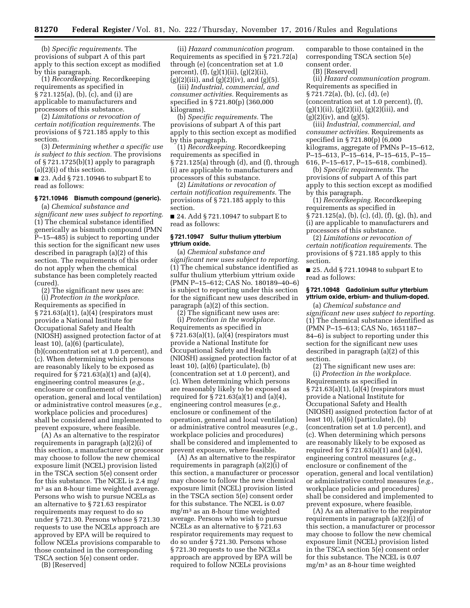(b) *Specific requirements.* The provisions of subpart A of this part apply to this section except as modified by this paragraph.

(1) *Recordkeeping.* Recordkeeping requirements as specified in § 721.125(a), (b), (c), and (i) are applicable to manufacturers and processors of this substance.

(2) *Limitations or revocation of certain notification requirements.* The provisions of § 721.185 apply to this section.

(3) *Determining whether a specific use is subject to this section.* The provisions of § 721.1725(b)(1) apply to paragraph (a)(2)(i) of this section.

■ 23. Add § 721.10946 to subpart E to read as follows:

## **§ 721.10946 Bismuth compound (generic).**

(a) *Chemical substance and significant new uses subject to reporting.*  (1) The chemical substance identified generically as bismuth compound (PMN P–15–485) is subject to reporting under this section for the significant new uses described in paragraph (a)(2) of this section. The requirements of this order do not apply when the chemical substance has been completely reacted (cured).

(2) The significant new uses are: (i) *Protection in the workplace.*  Requirements as specified in § 721.63(a)(1), (a)(4) (respirators must provide a National Institute for Occupational Safety and Health (NIOSH) assigned protection factor of at least 10), (a)(6) (particulate), (b)(concentration set at 1.0 percent), and (c). When determining which persons are reasonably likely to be exposed as required for  $\S 721.63(a)(1)$  and  $(a)(4)$ , engineering control measures (*e.g.,*  enclosure or confinement of the operation, general and local ventilation) or administrative control measures (*e.g.,*  workplace policies and procedures) shall be considered and implemented to prevent exposure, where feasible.

(A) As an alternative to the respirator requirements in paragraph (a)(2)(i) of this section, a manufacturer or processor may choose to follow the new chemical exposure limit (NCEL) provision listed in the TSCA section 5(e) consent order for this substance. The NCEL is 2.4 mg/ m3 as an 8-hour time weighted average. Persons who wish to pursue NCELs as an alternative to § 721.63 respirator requirements may request to do so under § 721.30. Persons whose § 721.30 requests to use the NCELs approach are approved by EPA will be required to follow NCELs provisions comparable to those contained in the corresponding TSCA section 5(e) consent order.

(B) [Reserved]

(ii) *Hazard communication program.*  Requirements as specified in § 721.72(a) through (e) (concentration set at 1.0 percent), (f), (g)(1)(ii), (g)(2)(ii),  $(g)(2)(iii)$ , and  $(g)(2)(iv)$ , and  $(g)(5)$ .

(iii) *Industrial, commercial, and consumer activities.* Requirements as specified in § 721.80(p) (360,000 kilograms).

(b) *Specific requirements.* The provisions of subpart A of this part apply to this section except as modified by this paragraph.

(1) *Recordkeeping.* Recordkeeping requirements as specified in § 721.125(a) through (d), and (f), through (i) are applicable to manufacturers and processors of this substance.

(2) *Limitations or revocation of certain notification requirements.* The provisions of § 721.185 apply to this section.

■ 24. Add § 721.10947 to subpart E to read as follows:

## **§ 721.10947 Sulfur thulium ytterbium yttrium oxide.**

(a) *Chemical substance and significant new uses subject to reporting.*  (1) The chemical substance identified as sulfur thulium ytterbium yttrium oxide (PMN P–15–612; CAS No. 180189–40–6) is subject to reporting under this section for the significant new uses described in paragraph (a)(2) of this section.

(2) The significant new uses are: (i) *Protection in the workplace.*  Requirements as specified in § 721.63(a)(1), (a)(4) (respirators must provide a National Institute for Occupational Safety and Health (NIOSH) assigned protection factor of at least 10), (a)(6) (particulate), (b) (concentration set at 1.0 percent), and (c). When determining which persons are reasonably likely to be exposed as required for  $\S 721.63(a)(1)$  and  $(a)(4)$ , engineering control measures (*e.g.,*  enclosure or confinement of the operation, general and local ventilation) or administrative control measures (*e.g.,*  workplace policies and procedures) shall be considered and implemented to prevent exposure, where feasible.

(A) As an alternative to the respirator requirements in paragraph (a)(2)(i) of this section, a manufacturer or processor may choose to follow the new chemical exposure limit (NCEL) provision listed in the TSCA section 5(e) consent order for this substance. The NCEL is 0.07 mg/m3 as an 8-hour time weighted average. Persons who wish to pursue NCELs as an alternative to § 721.63 respirator requirements may request to do so under § 721.30. Persons whose § 721.30 requests to use the NCELs approach are approved by EPA will be required to follow NCELs provisions

comparable to those contained in the corresponding TSCA section 5(e) consent order.

(B) [Reserved]

(ii) *Hazard communication program.*  Requirements as specified in § 721.72(a), (b), (c), (d), (e) (concentration set at 1.0 percent), (f),  $(g)(1)(ii)$ ,  $(g)(2)(ii)$ ,  $(g)(2)(iii)$ , and  $(g)(2)(iv)$ , and  $(g)(5)$ .

(iii) *Industrial, commercial, and consumer activities.* Requirements as specified in § 721.80(p) (6,000 kilograms, aggregate of PMNs P–15–612, P–15–613, P–15–614, P–15–615, P–15– 616, P–15–617, P–15–618, combined).

(b) *Specific requirements.* The provisions of subpart A of this part apply to this section except as modified by this paragraph.

(1) *Recordkeeping.* Recordkeeping requirements as specified in § 721.125(a), (b), (c), (d), (f), (g), (h), and (i) are applicable to manufacturers and processors of this substance.

(2) *Limitations or revocation of certain notification requirements.* The provisions of § 721.185 apply to this section.

■ 25. Add § 721.10948 to subpart E to read as follows:

## **§ 721.10948 Gadolinium sulfur ytterbium yttrium oxide, erbium- and thulium-doped.**

(a) *Chemical substance and significant new uses subject to reporting.*  (1) The chemical substance identified as (PMN P–15–613; CAS No, 1651187– 84–6) is subject to reporting under this section for the significant new uses described in paragraph (a)(2) of this section.

(2) The significant new uses are: (i) *Protection in the workplace.*  Requirements as specified in § 721.63(a)(1), (a)(4) (respirators must provide a National Institute for Occupational Safety and Health (NIOSH) assigned protection factor of at least  $10$ ,  $(a)(6)$  (particulate),  $(b)$ (concentration set at 1.0 percent), and (c). When determining which persons are reasonably likely to be exposed as required for  $\S 721.63(a)(1)$  and  $(a)(4)$ , engineering control measures (*e.g.,*  enclosure or confinement of the operation, general and local ventilation) or administrative control measures (*e.g.,*  workplace policies and procedures) shall be considered and implemented to prevent exposure, where feasible.

(A) As an alternative to the respirator requirements in paragraph (a)(2)(i) of this section, a manufacturer or processor may choose to follow the new chemical exposure limit (NCEL) provision listed in the TSCA section 5(e) consent order for this substance. The NCEL is 0.07 mg/m3 as an 8-hour time weighted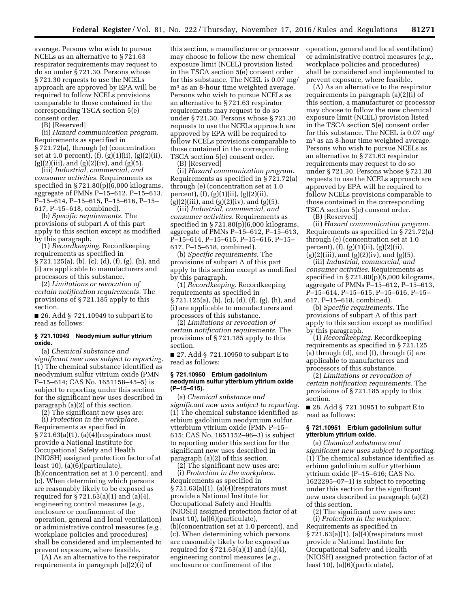average. Persons who wish to pursue NCELs as an alternative to § 721.63 respirator requirements may request to do so under § 721.30. Persons whose § 721.30 requests to use the NCELs approach are approved by EPA will be required to follow NCELs provisions comparable to those contained in the corresponding TSCA section 5(e) consent order.

(B) [Reserved]

(ii) *Hazard communication program.*  Requirements as specified in § 721.72(a), through (e) (concentration set at 1.0 percent), (f), (g)(1)(ii), (g)(2)(ii),  $(g)(2)(iii)$ , and  $(g)(2)(iv)$ , and  $(g)(5)$ .

(iii) *Industrial, commercial, and consumer activities.* Requirements as specified in § 721.80(p)(6,000 kilograms, aggregate of PMNs P–15–612, P–15–613, P–15–614, P–15–615, P–15–616, P–15– 617, P–15–618, combined).

(b) *Specific requirements.* The provisions of subpart A of this part apply to this section except as modified by this paragraph.

(1) *Recordkeeping.* Recordkeeping requirements as specified in § 721.125(a), (b), (c), (d), (f), (g), (h), and (i) are applicable to manufacturers and processors of this substance.

(2) *Limitations or revocation of certain notification requirements.* The provisions of § 721.185 apply to this section.

■ 26. Add § 721.10949 to subpart E to read as follows:

#### **§ 721.10949 Neodymium sulfur yttrium oxide.**

(a) *Chemical substance and significant new uses subject to reporting.*  (1) The chemical substance identified as neodymium sulfur yttrium oxide (PMN P–15–614; CAS No. 1651158–45–5) is subject to reporting under this section for the significant new uses described in paragraph (a)(2) of this section.

(2) The significant new uses are: (i) *Protection in the workplace.*  Requirements as specified in § 721.63(a)(1), (a)(4)(respirators must provide a National Institute for Occupational Safety and Health (NIOSH) assigned protection factor of at least 10), (a)(6)(particulate), (b)(concentration set at 1.0 percent), and (c). When determining which persons are reasonably likely to be exposed as required for § 721.63(a)(1) and (a)(4), engineering control measures (*e.g.,*  enclosure or confinement of the operation, general and local ventilation) or administrative control measures (*e.g.,*  workplace policies and procedures) shall be considered and implemented to prevent exposure, where feasible.

(A) As an alternative to the respirator requirements in paragraph (a)(2)(i) of

this section, a manufacturer or processor may choose to follow the new chemical exposure limit (NCEL) provision listed in the TSCA section 5(e) consent order for this substance. The NCEL is 0.07 mg/ m3 as an 8-hour time weighted average. Persons who wish to pursue NCELs as an alternative to § 721.63 respirator requirements may request to do so under § 721.30. Persons whose § 721.30 requests to use the NCELs approach are approved by EPA will be required to follow NCELs provisions comparable to those contained in the corresponding TSCA section 5(e) consent order.

(B) [Reserved]

(ii) *Hazard communication program.*  Requirements as specified in § 721.72(a) through (e) (concentration set at 1.0 percent), (f), (g)(1)(ii), (g)(2)(ii),  $(g)(2)(iii)$ , and  $(g)(2)(iv)$ , and  $(g)(5)$ .

(iii) *Industrial, commercial, and consumer activities.* Requirements as specified in § 721.80(p)(6,000 kilograms, aggregate of PMNs P–15–612, P–15–613, P–15–614, P–15–615, P–15–616, P–15– 617, P–15–618, combined).

(b) *Specific requirements.* The provisions of subpart A of this part apply to this section except as modified by this paragraph.

(1) *Recordkeeping.* Recordkeeping requirements as specified in § 721.125(a), (b), (c), (d), (f), (g), (h), and (i) are applicable to manufacturers and processors of this substance.

(2) *Limitations or revocation of certain notification requirements.* The provisions of § 721.185 apply to this section.

■ 27. Add § 721.10950 to subpart E to read as follows:

#### **§ 721.10950 Erbium gadolinium neodymium sulfur ytterbium yttrium oxide (P–15–615).**

(a) *Chemical substance and significant new uses subject to reporting.*  (1) The chemical substance identified as erbium gadolinium neodymium sulfur ytterbium yttrium oxide (PMN P–15– 615; CAS No. 1651152–96–3) is subject to reporting under this section for the significant new uses described in paragraph (a)(2) of this section.

 $(2)$  The significant new uses are: (i) *Protection in the workplace.*  Requirements as specified in  $\S 721.63(a)(1)$ , (a)(4)(respirators must provide a National Institute for Occupational Safety and Health (NIOSH) assigned protection factor of at least 10), (a)(6)(particulate), (b)(concentration set at 1.0 percent), and (c). When determining which persons are reasonably likely to be exposed as required for  $\S 721.63(a)(1)$  and  $(a)(4)$ , engineering control measures (*e.g.,*  enclosure or confinement of the

operation, general and local ventilation) or administrative control measures (*e.g.,*  workplace policies and procedures) shall be considered and implemented to prevent exposure, where feasible.

(A) As an alternative to the respirator requirements in paragraph (a)(2)(i) of this section, a manufacturer or processor may choose to follow the new chemical exposure limit (NCEL) provision listed in the TSCA section 5(e) consent order for this substance. The NCEL is 0.07 mg/ m3 as an 8-hour time weighted average. Persons who wish to pursue NCELs as an alternative to § 721.63 respirator requirements may request to do so under § 721.30. Persons whose § 721.30 requests to use the NCELs approach are approved by EPA will be required to follow NCELs provisions comparable to those contained in the corresponding TSCA section 5(e) consent order.

(B) [Reserved]

(ii) *Hazard communication program.*  Requirements as specified in § 721.72(a) through (e) (concentration set at 1.0 percent), (f), (g)(1)(ii), (g)(2)(ii),  $(g)(2)(iii)$ , and  $(g)(2)(iv)$ , and  $(g)(5)$ .

(iii) *Industrial, commercial, and consumer activities.* Requirements as specified in § 721.80(p)(6,000 kilograms, aggregate of PMNs P–15–612, P–15–613, P–15–614, P–15–615, P–15–616, P–15– 617, P–15–618, combined).

(b) *Specific requirements.* The provisions of subpart A of this part apply to this section except as modified by this paragraph.

(1) *Recordkeeping.* Recordkeeping requirements as specified in § 721.125 (a) through (d), and (f), through (i) are applicable to manufacturers and processors of this substance.

(2) *Limitations or revocation of certain notification requirements.* The provisions of § 721.185 apply to this section.

■ 28. Add § 721.10951 to subpart E to read as follows:

#### **§ 721.10951 Erbium gadolinium sulfur ytterbium yttrium oxide.**

(a) *Chemical substance and significant new uses subject to reporting.*  (1) The chemical substance identified as erbium gadolinium sulfur ytterbium yttrium oxide (P–15–616; CAS No. 1622295–07–1) is subject to reporting under this section for the significant new uses described in paragraph (a)(2) of this section.

(2) The significant new uses are: (i) *Protection in the workplace.*  Requirements as specified in § 721.63(a)(1), (a)(4)(respirators must provide a National Institute for Occupational Safety and Health (NIOSH) assigned protection factor of at least 10), (a)(6)(particulate),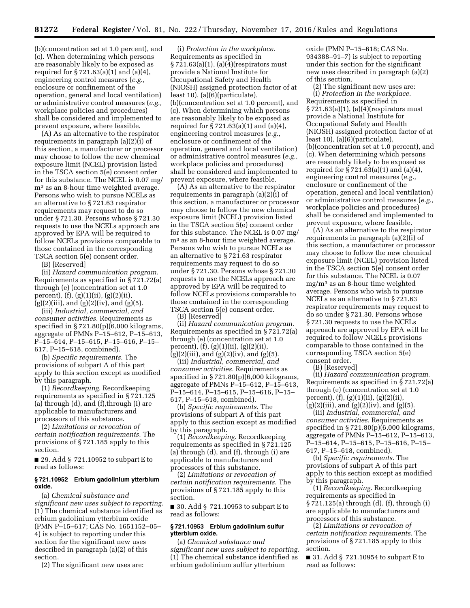(b)(concentration set at 1.0 percent), and (c). When determining which persons are reasonably likely to be exposed as required for § 721.63(a)(1) and (a)(4), engineering control measures (*e.g.,*  enclosure or confinement of the operation, general and local ventilation) or administrative control measures (*e.g.,*  workplace policies and procedures) shall be considered and implemented to prevent exposure, where feasible.

(A) As an alternative to the respirator requirements in paragraph (a)(2)(i) of this section, a manufacturer or processor may choose to follow the new chemical exposure limit (NCEL) provision listed in the TSCA section 5(e) consent order for this substance. The NCEL is 0.07 mg/ m3 as an 8-hour time weighted average. Persons who wish to pursue NCELs as an alternative to § 721.63 respirator requirements may request to do so under § 721.30. Persons whose § 721.30 requests to use the NCELs approach are approved by EPA will be required to follow NCELs provisions comparable to those contained in the corresponding TSCA section 5(e) consent order.

(B) [Reserved]

(ii) *Hazard communication program.*  Requirements as specified in § 721.72(a) through (e) (concentration set at 1.0 percent), (f), (g)(1)(ii), (g)(2)(ii),  $(g)(2)(iii)$ , and  $(g)(2)(iv)$ , and  $(g)(5)$ .

(iii) *Industrial, commercial, and consumer activities.* Requirements as specified in § 721.80(p)(6,000 kilograms, aggregate of PMNs P–15–612, P–15–613, P–15–614, P–15–615, P–15–616, P–15– 617, P–15–618, combined).

(b) *Specific requirements.* The provisions of subpart A of this part apply to this section except as modified by this paragraph.

(1) *Recordkeeping.* Recordkeeping requirements as specified in § 721.125 (a) through (d), and (f),through (i) are applicable to manufacturers and processors of this substance.

(2) *Limitations or revocation of certain notification requirements.* The provisions of § 721.185 apply to this section.

■ 29. Add § 721.10952 to subpart E to read as follows:

## **§ 721.10952 Erbium gadolinium ytterbium oxide.**

(a) *Chemical substance and significant new uses subject to reporting.*  (1) The chemical substance identified as erbium gadolinium ytterbium oxide (PMN P–15–617; CAS No. 1651152–05– 4) is subject to reporting under this section for the significant new uses described in paragraph (a)(2) of this section.

(2) The significant new uses are:

(i) *Protection in the workplace.*  Requirements as specified in  $\S 721.63(a)(1)$ , (a)(4)(respirators must provide a National Institute for Occupational Safety and Health (NIOSH) assigned protection factor of at least 10), (a)(6)(particulate), (b)(concentration set at 1.0 percent), and (c). When determining which persons are reasonably likely to be exposed as required for  $\S 721.63(a)(1)$  and  $(a)(4)$ , engineering control measures (*e.g.,*  enclosure or confinement of the operation, general and local ventilation) or administrative control measures (*e.g.,*  workplace policies and procedures) shall be considered and implemented to prevent exposure, where feasible.

(A) As an alternative to the respirator requirements in paragraph (a)(2)(i) of this section, a manufacturer or processor may choose to follow the new chemical exposure limit (NCEL) provision listed in the TSCA section 5(e) consent order for this substance. The NCEL is 0.07 mg/ m3 as an 8-hour time weighted average. Persons who wish to pursue NCELs as an alternative to § 721.63 respirator requirements may request to do so under § 721.30. Persons whose § 721.30 requests to use the NCELs approach are approved by EPA will be required to follow NCELs provisions comparable to those contained in the corresponding TSCA section 5(e) consent order.

(B) [Reserved]

(ii) *Hazard communication program.*  Requirements as specified in § 721.72(a) through (e) (concentration set at 1.0 percent), (f), (g)(1)(ii), (g)(2)(ii),  $(g)(2)(iii)$ , and  $(g)(2)(iv)$ , and  $(g)(5)$ .

(iii) *Industrial, commercial, and consumer activities.* Requirements as specified in § 721.80(p)(6,000 kilograms, aggregate of PMNs P–15–612, P–15–613, P–15–614, P–15–615, P–15–616, P–15– 617, P–15–618, combined).

(b) *Specific requirements.* The provisions of subpart A of this part apply to this section except as modified by this paragraph.

(1) *Recordkeeping.* Recordkeeping requirements as specified in § 721.125 (a) through (d), and (f), through (i) are applicable to manufacturers and processors of this substance.

(2) *Limitations or revocation of certain notification requirements.* The provisions of § 721.185 apply to this section.

■ 30. Add § 721.10953 to subpart E to read as follows:

## **§ 721.10953 Erbium gadolinium sulfur ytterbium oxide.**

(a) *Chemical substance and significant new uses subject to reporting.*  (1) The chemical substance identified as erbium gadolinium sulfur ytterbium

oxide (PMN P–15–618; CAS No. 934388–91–7) is subject to reporting under this section for the significant new uses described in paragraph (a)(2) of this section.

(2) The significant new uses are: (i) *Protection in the workplace.*  Requirements as specified in § 721.63(a)(1), (a)(4)(respirators must provide a National Institute for Occupational Safety and Health (NIOSH) assigned protection factor of at least 10), (a)(6)(particulate), (b)(concentration set at 1.0 percent), and (c). When determining which persons are reasonably likely to be exposed as required for  $\S 721.63(a)(1)$  and  $(a)(4)$ , engineering control measures (*e.g.,*  enclosure or confinement of the operation, general and local ventilation) or administrative control measures (*e.g.,*  workplace policies and procedures) shall be considered and implemented to prevent exposure, where feasible.

(A) As an alternative to the respirator requirements in paragraph (a)(2)(i) of this section, a manufacturer or processor may choose to follow the new chemical exposure limit (NCEL) provision listed in the TSCA section 5(e) consent order for this substance. The NCEL is 0.07 mg/m3 as an 8-hour time weighted average. Persons who wish to pursue NCELs as an alternative to § 721.63 respirator requirements may request to do so under § 721.30. Persons whose § 721.30 requests to use the NCELs approach are approved by EPA will be required to follow NCELs provisions comparable to those contained in the corresponding TSCA section 5(e) consent order.

(B) [Reserved]

(ii) *Hazard communication program.*  Requirements as specified in § 721.72(a) through (e) (concentration set at 1.0 percent), (f), (g)(1)(ii), (g)(2)(ii),  $(g)(2)(iii)$ , and  $(g)(2)(iv)$ , and  $(g)(5)$ .

(iii) *Industrial, commercial, and consumer activities.* Requirements as specified in § 721.80(p)(6,000 kilograms, aggregate of PMNs P–15–612, P–15–613, P–15–614, P–15–615, P–15–616, P–15– 617, P–15–618, combined).

(b) *Specific requirements.* The provisions of subpart A of this part apply to this section except as modified by this paragraph.

(1) *Recordkeeping.* Recordkeeping requirements as specified in § 721.125(a) through (d), (f), through (i) are applicable to manufacturers and processors of this substance.

(2) *Limitations or revocation of certain notification requirements.* The provisions of § 721.185 apply to this section.

■ 31. Add § 721.10954 to subpart E to read as follows: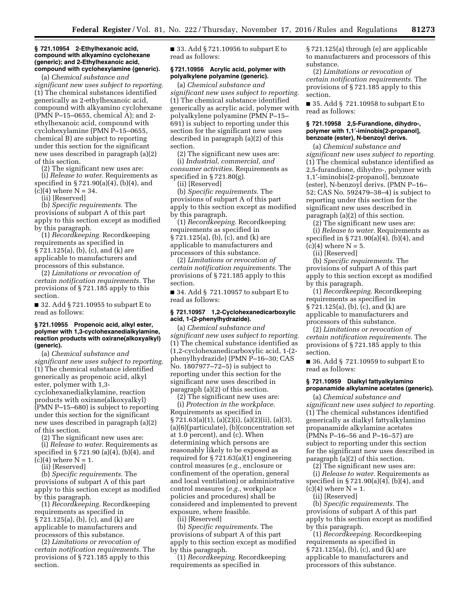#### **§ 721.10954 2-Ethylhexanoic acid, compound with alkyamino cyclohexane (generic); and 2-Ethylhexanoic acid, compound with cyclohexylamine (generic).**

(a) *Chemical substance and significant new uses subject to reporting.*  (1) The chemical substances identified generically as 2-ethylhexanoic acid, compound with alkyamino cyclohexane (PMN P–15–0655, chemical A); and 2 ethylhexanoic acid, compound with cyclohexylamine (PMN P–15–0655, chemical B) are subject to reporting under this section for the significant new uses described in paragraph (a)(2) of this section.

(2) The significant new uses are:

(i) *Release to water.* Requirements as specified in § 721.90(a)(4), (b)(4), and  $(c)(4)$  where  $N = 34$ .

(ii) [Reserved]

(b) *Specific requirements.* The provisions of subpart A of this part apply to this section except as modified by this paragraph.

(1) *Recordkeeping.* Recordkeeping requirements as specified in § 721.125(a), (b), (c), and (k) are applicable to manufacturers and processors of this substance.

(2) *Limitations or revocation of certain notification requirements.* The provisions of § 721.185 apply to this section.

■ 32. Add § 721.10955 to subpart E to read as follows:

#### **§ 721.10955 Propenoic acid, alkyl ester, polymer with 1,3-cyclohexanedialkylamine, reaction products with oxirane(alkoxyalkyl) (generic).**

(a) *Chemical substance and significant new uses subject to reporting.*  (1) The chemical substance identified generically as propenoic acid, alkyl ester, polymer with 1,3 cyclohexanedialkylamine, reaction products with oxirane(alkoxyalkyl) (PMN P–15–680) is subject to reporting under this section for the significant new uses described in paragraph (a)(2) of this section.

(2) The significant new uses are:

(i) *Release to water.* Requirements as specified in § 721.90 (a)(4), (b)(4), and  $(c)(4)$  where  $N = 1$ .

(ii) [Reserved]

(b) *Specific requirements.* The provisions of subpart A of this part apply to this section except as modified by this paragraph.

(1) *Recordkeeping.* Recordkeeping requirements as specified in § 721.125(a), (b), (c), and (k) are applicable to manufacturers and processors of this substance.

(2) *Limitations or revocation of certain notification requirements.* The provisions of § 721.185 apply to this section.

■ 33. Add § 721.10956 to subpart E to read as follows:

## **§ 721.10956 Acrylic acid, polymer with polyalkylene polyamine (generic).**

(a) *Chemical substance and significant new uses subject to reporting.*  (1) The chemical substance identified generically as acrylic acid, polymer with polyalkylene polyamine (PMN P–15– 691) is subject to reporting under this section for the significant new uses described in paragraph (a)(2) of this section.

(2) The significant new uses are: (i) *Industrial, commercial, and consumer activities.* Requirements as specified in § 721.80(g).

(ii) [Reserved]

(b) *Specific requirements.* The provisions of subpart A of this part apply to this section except as modified by this paragraph.

(1) *Recordkeeping.* Recordkeeping requirements as specified in § 721.125(a), (b), (c), and (k) are applicable to manufacturers and processors of this substance.

(2) *Limitations or revocation of certain notification requirements.* The provisions of § 721.185 apply to this section.

■ 34. Add § 721.10957 to subpart E to read as follows:

## **§ 721.10957 1,2-Cyclohexanedicarboxylic acid, 1-(2-phenylhydrazide).**

(a) *Chemical substance and significant new uses subject to reporting.*  (1) The chemical substance identified as (1,2-cyclohexanedicarboxylic acid, 1-(2 phenylhydrazide) (PMN P–16–30; CAS No. 1807977–72–5) is subject to reporting under this section for the significant new uses described in paragraph (a)(2) of this section.

(2) The significant new uses are:

(i) *Protection in the workplace.*  Requirements as specified in § 721.63(a)(1), (a)(2)(i), (a)(2)(ii), (a)(3), (a)(6)(particulate), (b)(concentration set at 1.0 percent), and (c). When determining which persons are reasonably likely to be exposed as required for § 721.63(a)(1) engineering control measures (*e.g.,* enclosure or confinement of the operation, general and local ventilation) or administrative control measures (*e.g.,* workplace policies and procedures) shall be considered and implemented to prevent exposure, where feasible.

(ii) [Reserved]

(b) *Specific requirements.* The provisions of subpart A of this part apply to this section except as modified by this paragraph.

(1) *Recordkeeping.* Recordkeeping requirements as specified in

§ 721.125(a) through (e) are applicable to manufacturers and processors of this substance.

(2) *Limitations or revocation of certain notification requirements.* The provisions of § 721.185 apply to this section.

■ 35. Add § 721.10958 to subpart E to read as follows:

#### **§ 721.10958 2,5-Furandione, dihydro-, polymer with 1,1**′**-iminobis[2-propanol], benzoate (ester), N-benzoyl derivs.**

(a) *Chemical substance and significant new uses subject to reporting.*  (1) The chemical substance identified as 2,5-furandione, dihydro-, polymer with 1,1′-iminobis[2-propanol], benzoate (ester), N-benzoyl derivs. (PMN P–16– 52; CAS No. 592479–38–4) is subject to reporting under this section for the significant new uses described in paragraph (a)(2) of this section.

 $(2)$  The significant new uses are: (i) *Release to water.* Requirements as specified in § 721.90(a)(4), (b)(4), and

(c)(4) where  $N = 5$ .

(ii) [Reserved]

(b) *Specific requirements.* The provisions of subpart A of this part apply to this section except as modified by this paragraph.

(1) *Recordkeeping.* Recordkeeping requirements as specified in § 721.125(a), (b), (c), and (k) are applicable to manufacturers and processors of this substance.

(2) *Limitations or revocation of certain notification requirements.* The provisions of § 721.185 apply to this section.

■ 36. Add § 721.10959 to subpart E to read as follows:

#### **§ 721.10959 Dialkyl fattyalkylamino propanamide alkylamine acetates (generic).**

(a) *Chemical substance and significant new uses subject to reporting.*  (1) The chemical substances identified generically as dialkyl fattyalkylamino propanamide alkylamine acetates (PMNs P–16–56 and P–16–57) are subject to reporting under this section for the significant new uses described in paragraph (a)(2) of this section.

(2) The significant new uses are: (i) *Release to water.* Requirements as

specified in § 721.90(a)(4), (b)(4), and  $(c)(4)$  where  $N = 1$ .

(ii) [Reserved]

(b) *Specific requirements.* The provisions of subpart A of this part apply to this section except as modified by this paragraph.

(1) *Recordkeeping.* Recordkeeping requirements as specified in § 721.125(a), (b), (c), and (k) are applicable to manufacturers and processors of this substance.